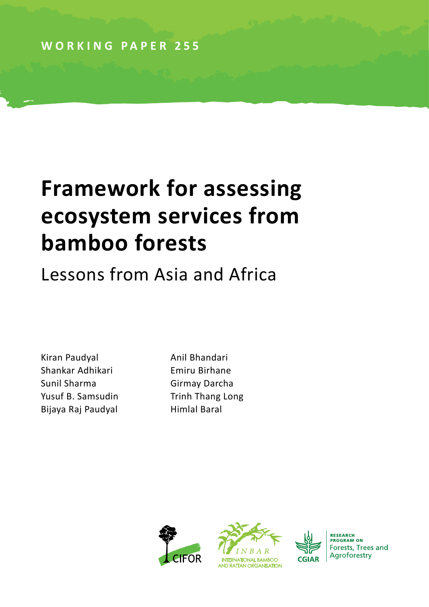**WORKING PAPER 255**

# **Framework for assessing ecosystem services from bamboo forests**

Lessons from Asia and Africa

Kiran Paudyal **Anil Bhandari** Shankar Adhikari Emiru Birhane Sunil Sharma Girmay Darcha Yusuf B. Samsudin Trinh Thang Long Bijaya Raj Paudyal **Himlal Baral** 





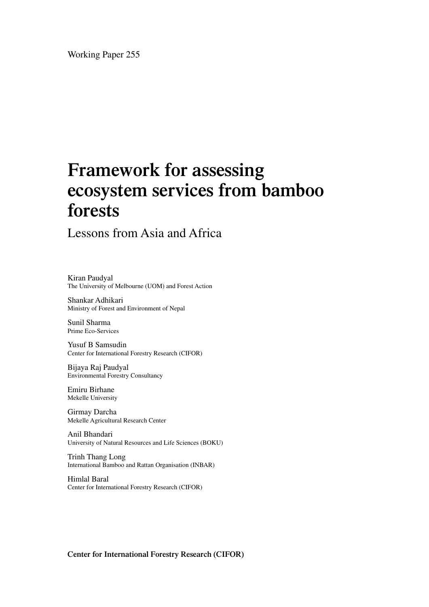Working Paper 255

# **Framework for assessing ecosystem services from bamboo forests**

Lessons from Asia and Africa

Kiran Paudyal The University of Melbourne (UOM) and Forest Action

Shankar Adhikari Ministry of Forest and Environment of Nepal

Sunil Sharma Prime Eco-Services

Yusuf B Samsudin Center for International Forestry Research (CIFOR)

Bijaya Raj Paudyal Environmental Forestry Consultancy

Emiru Birhane Mekelle University

Girmay Darcha Mekelle Agricultural Research Center

Anil Bhandari University of Natural Resources and Life Sciences (BOKU)

Trinh Thang Long International Bamboo and Rattan Organisation (INBAR)

Himlal Baral Center for International Forestry Research (CIFOR)

**Center for International Forestry Research (CIFOR)**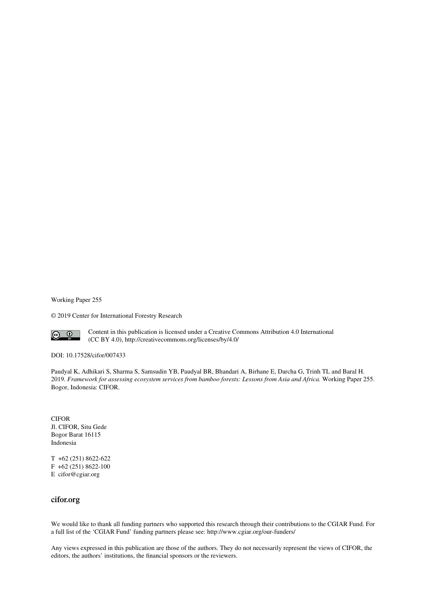Working Paper 255

© 2019 Center for International Forestry Research



Content in this publication is licensed under a Creative Commons Attribution 4.0 International (CC BY 4.0), http://creativecommons.org/licenses/by/4.0/

DOI: 10.17528/cifor/007433

Paudyal K, Adhikari S, Sharma S, Samsudin YB, Paudyal BR, Bhandari A, Birhane E, Darcha G, Trinh TL and Baral H. 2019. *Framework for assessing ecosystem services from bamboo forests: Lessons from Asia and Africa.* Working Paper 255. Bogor, Indonesia: CIFOR.

CIFOR Jl. CIFOR, Situ Gede Bogor Barat 16115 Indonesia

T +62 (251) 8622-622 F +62 (251) 8622-100 E cifor@cgiar.org

#### **cifor.org**

We would like to thank all funding partners who supported this research through their contributions to the CGIAR Fund. For a full list of the 'CGIAR Fund' funding partners please see: http://www.cgiar.org/our-funders/

Any views expressed in this publication are those of the authors. They do not necessarily represent the views of CIFOR, the editors, the authors' institutions, the financial sponsors or the reviewers.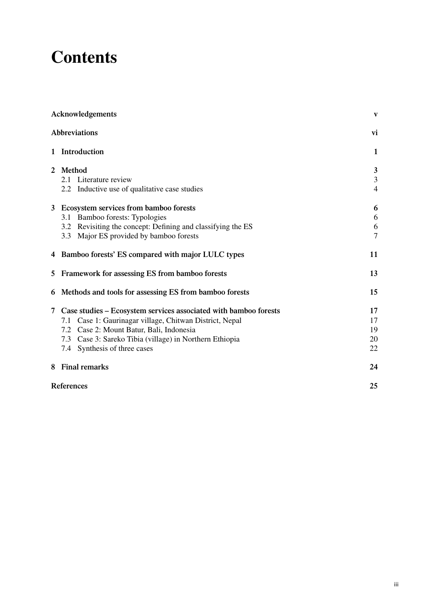# **Contents**

| Acknowledgements      |                                                                  |                |  |  |
|-----------------------|------------------------------------------------------------------|----------------|--|--|
|                       | Abbreviations                                                    | vi             |  |  |
|                       | 1 Introduction                                                   | 1              |  |  |
| $\mathbf{2}^{\prime}$ | Method                                                           | 3              |  |  |
|                       | Literature review<br>2.1                                         | 3              |  |  |
|                       | 2.2 Inductive use of qualitative case studies                    | $\overline{4}$ |  |  |
| 3                     | Ecosystem services from bamboo forests                           | 6              |  |  |
|                       | Bamboo forests: Typologies<br>3.1                                | 6              |  |  |
|                       | Revisiting the concept: Defining and classifying the ES<br>3.2   | 6              |  |  |
|                       | Major ES provided by bamboo forests<br>3.3                       | $\overline{7}$ |  |  |
|                       | 4 Bamboo forests' ES compared with major LULC types              | 11             |  |  |
| 5.                    | Framework for assessing ES from bamboo forests                   | 13             |  |  |
| 6                     | Methods and tools for assessing ES from bamboo forests           | 15             |  |  |
| 7                     | Case studies – Ecosystem services associated with bamboo forests | 17             |  |  |
|                       | Case 1: Gaurinagar village, Chitwan District, Nepal<br>7.1       | 17             |  |  |
|                       | 7.2 Case 2: Mount Batur, Bali, Indonesia                         | 19             |  |  |
|                       | 7.3 Case 3: Sareko Tibia (village) in Northern Ethiopia          | 20             |  |  |
|                       | 7.4 Synthesis of three cases                                     | 22             |  |  |
|                       | 8 Final remarks                                                  | 24             |  |  |
|                       | References                                                       | 25             |  |  |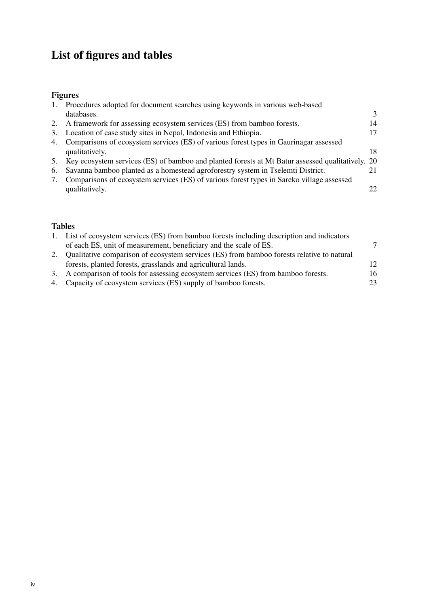### **List of figures and tables**

### **Figures**

| $\mathbf{1}$ . | Procedures adopted for document searches using keywords in various web-based                     |    |
|----------------|--------------------------------------------------------------------------------------------------|----|
|                | databases.                                                                                       | 3  |
| 2.             | A framework for assessing ecosystem services (ES) from bamboo forests.                           | 14 |
|                | 3. Location of case study sites in Nepal, Indonesia and Ethiopia.                                | 17 |
| 4.             | Comparisons of ecosystem services (ES) of various forest types in Gaurinagar assessed            |    |
|                | qualitatively.                                                                                   | 18 |
| 5.             | Key ecosystem services (ES) of bamboo and planted forests at Mt Batur assessed qualitatively. 20 |    |
| 6.             | Savanna bamboo planted as a homestead agroforestry system in Tselemti District.                  | 21 |
|                | Comparisons of ecosystem services (ES) of various forest types in Sareko village assessed        |    |
|                | qualitatively.                                                                                   | 22 |
|                |                                                                                                  |    |

### **Tables**

|    | 1. List of ecosystem services (ES) from bamboo forests including description and indicators |     |
|----|---------------------------------------------------------------------------------------------|-----|
|    | of each ES, unit of measurement, beneficiary and the scale of ES.                           |     |
| 2. | Qualitative comparison of ecosystem services (ES) from bamboo forests relative to natural   |     |
|    | forests, planted forests, grasslands and agricultural lands.                                | 12. |
|    | 3. A comparison of tools for assessing ecosystem services (ES) from bamboo forests.         | 16  |
|    | 4. Capacity of ecosystem services (ES) supply of bamboo forests.                            | 23  |
|    |                                                                                             |     |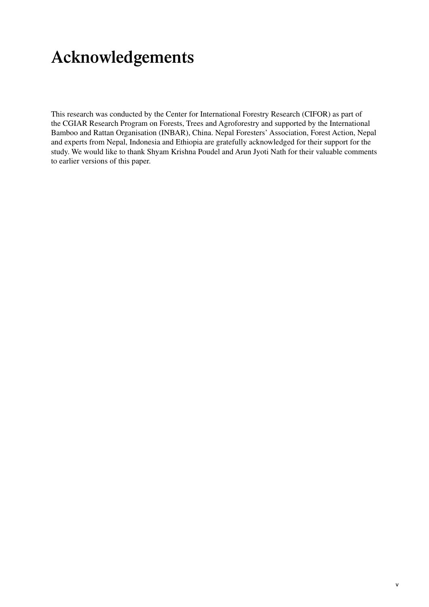# <span id="page-6-0"></span>**Acknowledgements**

This research was conducted by the Center for International Forestry Research (CIFOR) as part of the CGIAR Research Program on Forests, Trees and Agroforestry and supported by the International Bamboo and Rattan Organisation (INBAR), China. Nepal Foresters' Association, Forest Action, Nepal and experts from Nepal, Indonesia and Ethiopia are gratefully acknowledged for their support for the study. We would like to thank Shyam Krishna Poudel and Arun Jyoti Nath for their valuable comments to earlier versions of this paper.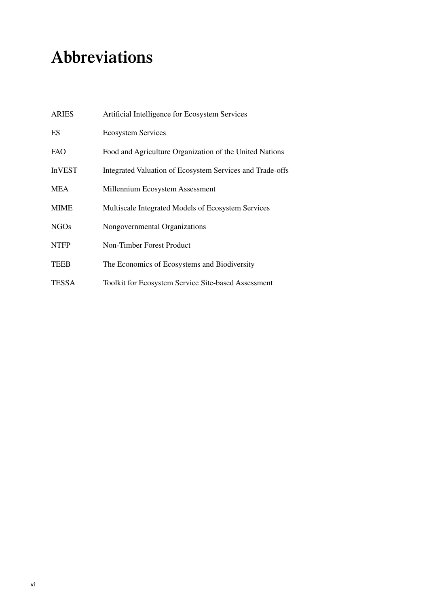# <span id="page-7-0"></span>**Abbreviations**

| <b>ARIES</b>  | Artificial Intelligence for Ecosystem Services             |
|---------------|------------------------------------------------------------|
| <b>ES</b>     | <b>Ecosystem Services</b>                                  |
| <b>FAO</b>    | Food and Agriculture Organization of the United Nations    |
| <b>InVEST</b> | Integrated Valuation of Ecosystem Services and Trade-offs  |
| <b>MEA</b>    | Millennium Ecosystem Assessment                            |
| <b>MIME</b>   | Multiscale Integrated Models of Ecosystem Services         |
| <b>NGOs</b>   | Nongovernmental Organizations                              |
| <b>NTFP</b>   | Non-Timber Forest Product                                  |
| <b>TEEB</b>   | The Economics of Ecosystems and Biodiversity               |
| <b>TESSA</b>  | <b>Toolkit for Ecosystem Service Site-based Assessment</b> |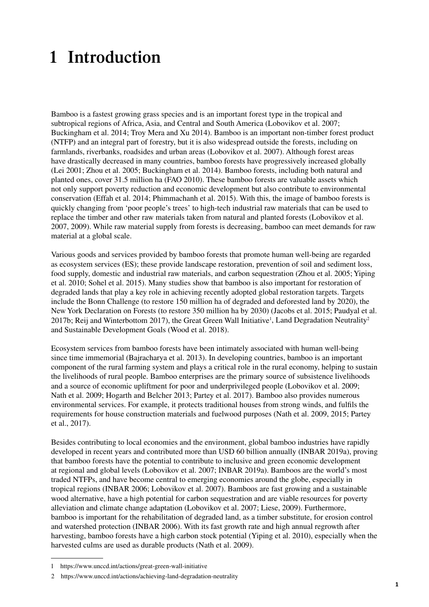# <span id="page-8-0"></span>**1 Introduction**

Bamboo is a fastest growing grass species and is an important forest type in the tropical and subtropical regions of Africa, Asia, and Central and South America (Lobovikov et al. 2007; Buckingham et al. 2014; Troy Mera and Xu 2014). Bamboo is an important non-timber forest product (NTFP) and an integral part of forestry, but it is also widespread outside the forests, including on farmlands, riverbanks, roadsides and urban areas (Lobovikov et al. 2007). Although forest areas have drastically decreased in many countries, bamboo forests have progressively increased globally (Lei 2001; Zhou et al. 2005; Buckingham et al. 2014). Bamboo forests, including both natural and planted ones, cover 31.5 million ha (FAO 2010). These bamboo forests are valuable assets which not only support poverty reduction and economic development but also contribute to environmental conservation (Effah et al. 2014; Phimmachanh et al. 2015). With this, the image of bamboo forests is quickly changing from 'poor people's trees' to high-tech industrial raw materials that can be used to replace the timber and other raw materials taken from natural and planted forests (Lobovikov et al. 2007, 2009). While raw material supply from forests is decreasing, bamboo can meet demands for raw material at a global scale.

Various goods and services provided by bamboo forests that promote human well-being are regarded as ecosystem services (ES); these provide landscape restoration, prevention of soil and sediment loss, food supply, domestic and industrial raw materials, and carbon sequestration (Zhou et al. 2005; Yiping et al. 2010; Sohel et al. 2015). Many studies show that bamboo is also important for restoration of degraded lands that play a key role in achieving recently adopted global restoration targets. Targets include the Bonn Challenge (to restore 150 million ha of degraded and deforested land by 2020), the New York Declaration on Forests (to restore 350 million ha by 2030) (Jacobs et al. 2015; Paudyal et al. 2017b; Reij and Winterbottom 2017), the Great Green Wall Initiative<sup>1</sup>, Land Degradation Neutrality<sup>2</sup> and Sustainable Development Goals (Wood et al. 2018).

Ecosystem services from bamboo forests have been intimately associated with human well-being since time immemorial (Bajracharya et al. 2013). In developing countries, bamboo is an important component of the rural farming system and plays a critical role in the rural economy, helping to sustain the livelihoods of rural people. Bamboo enterprises are the primary source of subsistence livelihoods and a source of economic upliftment for poor and underprivileged people (Lobovikov et al. 2009; Nath et al. 2009; Hogarth and Belcher 2013; Partey et al. 2017). Bamboo also provides numerous environmental services. For example, it protects traditional houses from strong winds, and fulfils the requirements for house construction materials and fuelwood purposes (Nath et al. 2009, 2015; Partey et al., 2017).

Besides contributing to local economies and the environment, global bamboo industries have rapidly developed in recent years and contributed more than USD 60 billion annually (INBAR 2019a), proving that bamboo forests have the potential to contribute to inclusive and green economic development at regional and global levels (Lobovikov et al. 2007; INBAR 2019a). Bamboos are the world's most traded NTFPs, and have become central to emerging economies around the globe, especially in tropical regions (INBAR 2006; Lobovikov et al. 2007). Bamboos are fast growing and a sustainable wood alternative, have a high potential for carbon sequestration and are viable resources for poverty alleviation and climate change adaptation (Lobovikov et al. 2007; Liese, 2009). Furthermore, bamboo is important for the rehabilitation of degraded land, as a timber substitute, for erosion control and watershed protection (INBAR 2006). With its fast growth rate and high annual regrowth after harvesting, bamboo forests have a high carbon stock potential (Yiping et al. 2010), especially when the harvested culms are used as durable products (Nath et al. 2009).

<sup>1</sup> <https://www.unccd.int/actions/great-green-wall-initiative>

<sup>2</sup> <https://www.unccd.int/actions/achieving-land-degradation-neutrality>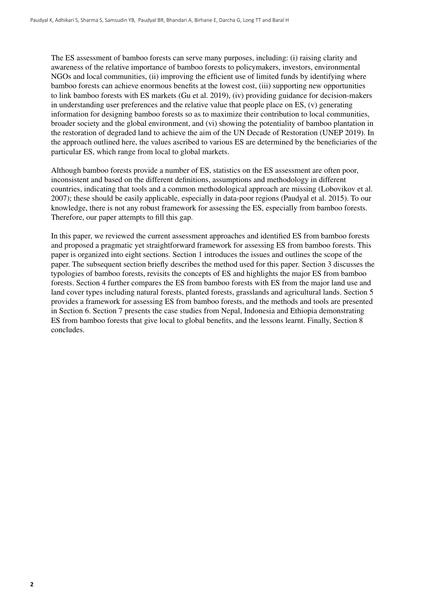The ES assessment of bamboo forests can serve many purposes, including: (i) raising clarity and awareness of the relative importance of bamboo forests to policymakers, investors, environmental NGOs and local communities, (ii) improving the efficient use of limited funds by identifying where bamboo forests can achieve enormous benefits at the lowest cost, (iii) supporting new opportunities to link bamboo forests with ES markets (Gu et al. 2019), (iv) providing guidance for decision-makers in understanding user preferences and the relative value that people place on ES, (v) generating information for designing bamboo forests so as to maximize their contribution to local communities, broader society and the global environment, and (vi) showing the potentiality of bamboo plantation in the restoration of degraded land to achieve the aim of the UN Decade of Restoration (UNEP 2019). In the approach outlined here, the values ascribed to various ES are determined by the beneficiaries of the particular ES, which range from local to global markets.

Although bamboo forests provide a number of ES, statistics on the ES assessment are often poor, inconsistent and based on the different definitions, assumptions and methodology in different countries, indicating that tools and a common methodological approach are missing (Lobovikov et al. 2007); these should be easily applicable, especially in data-poor regions (Paudyal et al. 2015). To our knowledge, there is not any robust framework for assessing the ES, especially from bamboo forests. Therefore, our paper attempts to fill this gap.

In this paper, we reviewed the current assessment approaches and identified ES from bamboo forests and proposed a pragmatic yet straightforward framework for assessing ES from bamboo forests. This paper is organized into eight sections. Section 1 introduces the issues and outlines the scope of the paper. The subsequent section briefly describes the method used for this paper. Section 3 discusses the typologies of bamboo forests, revisits the concepts of ES and highlights the major ES from bamboo forests. Section 4 further compares the ES from bamboo forests with ES from the major land use and land cover types including natural forests, planted forests, grasslands and agricultural lands. Section 5 provides a framework for assessing ES from bamboo forests, and the methods and tools are presented in Section 6. Section 7 presents the case studies from Nepal, Indonesia and Ethiopia demonstrating ES from bamboo forests that give local to global benefits, and the lessons learnt. Finally, Section 8 concludes.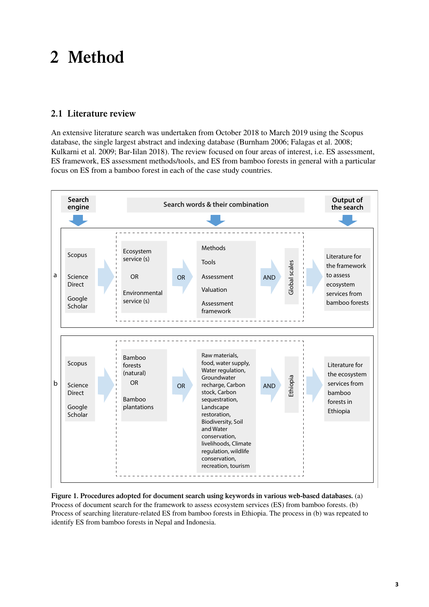# <span id="page-10-0"></span>**2 Method**

### **2.1 Literature review**

An extensive literature search was undertaken from October 2018 to March 2019 using the Scopus database, the single largest abstract and indexing database (Burnham 2006; Falagas et al. 2008; Kulkarni et al. 2009; Bar-Iilan 2018). The review focused on four areas of interest, i.e. ES assessment, ES framework, ES assessment methods/tools, and ES from bamboo forests in general with a particular focus on ES from a bamboo forest in each of the case study countries.



**Figure 1. Procedures adopted for document search using keywords in various web-based databases.** (a) Process of document search for the framework to assess ecosystem services (ES) from bamboo forests. (b) Process of searching literature-related ES from bamboo forests in Ethiopia. The process in (b) was repeated to identify ES from bamboo forests in Nepal and Indonesia.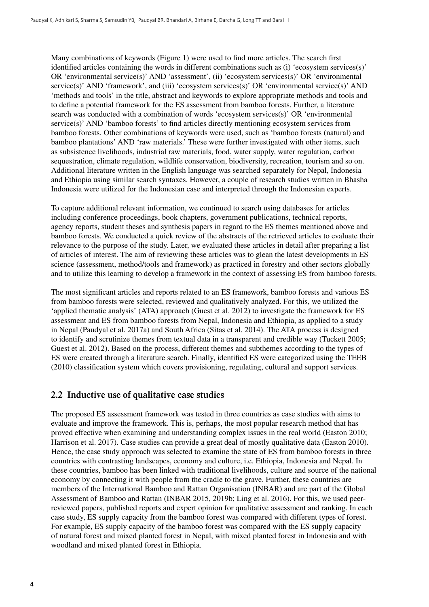<span id="page-11-0"></span>Many combinations of keywords (Figure 1) were used to find more articles. The search first identified articles containing the words in different combinations such as (i) 'ecosystem services(s)' OR 'environmental service(s)' AND 'assessment', (ii) 'ecosystem services(s)' OR 'environmental service(s)' AND 'framework', and (iii) 'ecosystem services(s)' OR 'environmental service(s)' AND 'methods and tools' in the title, abstract and keywords to explore appropriate methods and tools and to define a potential framework for the ES assessment from bamboo forests. Further, a literature search was conducted with a combination of words 'ecosystem services(s)' OR 'environmental service(s)' AND 'bamboo forests' to find articles directly mentioning ecosystem services from bamboo forests. Other combinations of keywords were used, such as 'bamboo forests (natural) and bamboo plantations' AND 'raw materials.' These were further investigated with other items, such as subsistence livelihoods, industrial raw materials, food, water supply, water regulation, carbon sequestration, climate regulation, wildlife conservation, biodiversity, recreation, tourism and so on. Additional literature written in the English language was searched separately for Nepal, Indonesia and Ethiopia using similar search syntaxes. However, a couple of research studies written in Bhasha Indonesia were utilized for the Indonesian case and interpreted through the Indonesian experts.

To capture additional relevant information, we continued to search using databases for articles including conference proceedings, book chapters, government publications, technical reports, agency reports, student theses and synthesis papers in regard to the ES themes mentioned above and bamboo forests. We conducted a quick review of the abstracts of the retrieved articles to evaluate their relevance to the purpose of the study. Later, we evaluated these articles in detail after preparing a list of articles of interest. The aim of reviewing these articles was to glean the latest developments in ES science (assessment, method/tools and framework) as practiced in forestry and other sectors globally and to utilize this learning to develop a framework in the context of assessing ES from bamboo forests.

The most significant articles and reports related to an ES framework, bamboo forests and various ES from bamboo forests were selected, reviewed and qualitatively analyzed. For this, we utilized the 'applied thematic analysis' (ATA) approach (Guest et al. 2012) to investigate the framework for ES assessment and ES from bamboo forests from Nepal, Indonesia and Ethiopia, as applied to a study in Nepal (Paudyal et al. 2017a) and South Africa (Sitas et al. 2014). The ATA process is designed to identify and scrutinize themes from textual data in a transparent and credible way (Tuckett 2005; Guest et al. 2012). Based on the process, different themes and subthemes according to the types of ES were created through a literature search. Finally, identified ES were categorized using the TEEB (2010) classification system which covers provisioning, regulating, cultural and support services.

### **2.2 Inductive use of qualitative case studies**

The proposed ES assessment framework was tested in three countries as case studies with aims to evaluate and improve the framework. This is, perhaps, the most popular research method that has proved effective when examining and understanding complex issues in the real world (Easton 2010; Harrison et al. 2017). Case studies can provide a great deal of mostly qualitative data (Easton 2010). Hence, the case study approach was selected to examine the state of ES from bamboo forests in three countries with contrasting landscapes, economy and culture, i.e. Ethiopia, Indonesia and Nepal. In these countries, bamboo has been linked with traditional livelihoods, culture and source of the national economy by connecting it with people from the cradle to the grave. Further, these countries are members of the International Bamboo and Rattan Organisation (INBAR) and are part of the Global Assessment of Bamboo and Rattan (INBAR 2015, 2019b; Ling et al. 2016). For this, we used peerreviewed papers, published reports and expert opinion for qualitative assessment and ranking. In each case study, ES supply capacity from the bamboo forest was compared with different types of forest. For example, ES supply capacity of the bamboo forest was compared with the ES supply capacity of natural forest and mixed planted forest in Nepal, with mixed planted forest in Indonesia and with woodland and mixed planted forest in Ethiopia.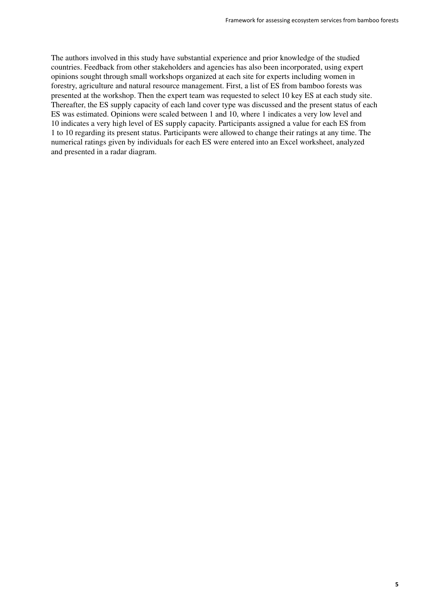The authors involved in this study have substantial experience and prior knowledge of the studied countries. Feedback from other stakeholders and agencies has also been incorporated, using expert opinions sought through small workshops organized at each site for experts including women in forestry, agriculture and natural resource management. First, a list of ES from bamboo forests was presented at the workshop. Then the expert team was requested to select 10 key ES at each study site. Thereafter, the ES supply capacity of each land cover type was discussed and the present status of each ES was estimated. Opinions were scaled between 1 and 10, where 1 indicates a very low level and 10 indicates a very high level of ES supply capacity. Participants assigned a value for each ES from 1 to 10 regarding its present status. Participants were allowed to change their ratings at any time. The numerical ratings given by individuals for each ES were entered into an Excel worksheet, analyzed and presented in a radar diagram.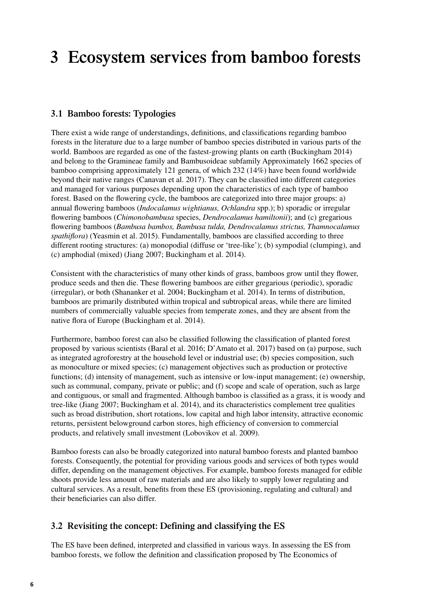# <span id="page-13-0"></span>**3 Ecosystem services from bamboo forests**

### **3.1 Bamboo forests: Typologies**

There exist a wide range of understandings, definitions, and classifications regarding bamboo forests in the literature due to a large number of bamboo species distributed in various parts of the world. Bamboos are regarded as one of the fastest-growing plants on earth (Buckingham 2014) and belong to the Gramineae family and Bambusoideae subfamily Approximately 1662 species of bamboo comprising approximately 121 genera, of which 232 (14%) have been found worldwide beyond their native ranges (Canavan et al. 2017). They can be classified into different categories and managed for various purposes depending upon the characteristics of each type of bamboo forest. Based on the flowering cycle, the bamboos are categorized into three major groups: a) annual flowering bamboos (*Indocalamus wightianus, Ochlandra* spp.); b) sporadic or irregular flowering bamboos (*Chimonobambusa* species, *Dendrocalamus hamiltonii*); and (c) gregarious flowering bamboos (*Bambusa bambos, Bambusa tulda, Dendrocalamus strictus, Thamnocalamus spathiflora*) (Yeasmin et al. 2015). Fundamentally, bamboos are classified according to three different rooting structures: (a) monopodial (diffuse or 'tree-like'); (b) sympodial (clumping), and (c) amphodial (mixed) (Jiang 2007; Buckingham et al. 2014).

Consistent with the characteristics of many other kinds of grass, bamboos grow until they flower, produce seeds and then die. These flowering bamboos are either gregarious (periodic), sporadic (irregular), or both (Shananker et al. 2004; Buckingham et al. 2014). In terms of distribution, bamboos are primarily distributed within tropical and subtropical areas, while there are limited numbers of commercially valuable species from temperate zones, and they are absent from the native flora of Europe (Buckingham et al. 2014).

Furthermore, bamboo forest can also be classified following the classification of planted forest proposed by various scientists (Baral et al. 2016; D'Amato et al. 2017) based on (a) purpose, such as integrated agroforestry at the household level or industrial use; (b) species composition, such as monoculture or mixed species; (c) management objectives such as production or protective functions; (d) intensity of management, such as intensive or low-input management; (e) ownership, such as communal, company, private or public; and (f) scope and scale of operation, such as large and contiguous, or small and fragmented. Although bamboo is classified as a grass, it is woody and tree-like (Jiang 2007; Buckingham et al. 2014), and its characteristics complement tree qualities such as broad distribution, short rotations, low capital and high labor intensity, attractive economic returns, persistent belowground carbon stores, high efficiency of conversion to commercial products, and relatively small investment (Lobovikov et al. 2009).

Bamboo forests can also be broadly categorized into natural bamboo forests and planted bamboo forests. Consequently, the potential for providing various goods and services of both types would differ, depending on the management objectives. For example, bamboo forests managed for edible shoots provide less amount of raw materials and are also likely to supply lower regulating and cultural services. As a result, benefits from these ES (provisioning, regulating and cultural) and their beneficiaries can also differ.

### **3.2 Revisiting the concept: Defining and classifying the ES**

The ES have been defined, interpreted and classified in various ways. In assessing the ES from bamboo forests, we follow the definition and classification proposed by The Economics of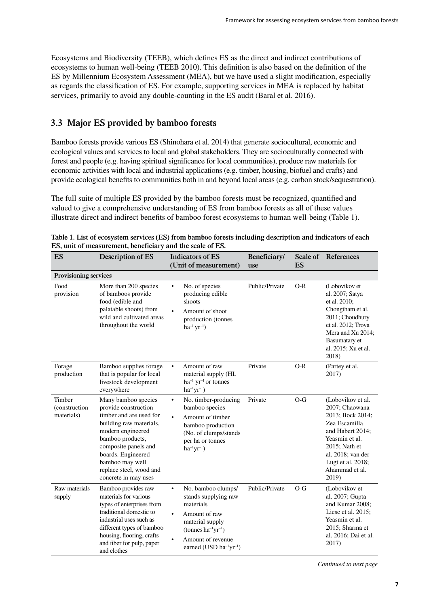<span id="page-14-0"></span>Ecosystems and Biodiversity (TEEB), which defines ES as the direct and indirect contributions of ecosystems to human well-being (TEEB 2010). This definition is also based on the definition of the ES by Millennium Ecosystem Assessment (MEA), but we have used a slight modification, especially as regards the classification of ES. For example, supporting services in MEA is replaced by habitat services, primarily to avoid any double-counting in the ES audit (Baral et al. 2016).

### **3.3 Major ES provided by bamboo forests**

Bamboo forests provide various ES (Shinohara et al. 2014) that generate sociocultural, economic and ecological values and services to local and global stakeholders. They are socioculturally connected with forest and people (e.g. having spiritual significance for local communities), produce raw materials for economic activities with local and industrial applications (e.g. timber, housing, biofuel and crafts) and provide ecological benefits to communities both in and beyond local areas (e.g. carbon stock/sequestration).

The full suite of multiple ES provided by the bamboo forests must be recognized, quantified and valued to give a comprehensive understanding of ES from bamboo forests as all of these values illustrate direct and indirect benefits of bamboo forest ecosystems to human well-being (Table 1).

| ES                                    | <b>Description of ES</b>                                                                                                                                                                                                                                       | <b>Indicators of ES</b><br>(Unit of measurement)                                                                                                                                                     | Beneficiary/<br>use | ES    | Scale of References                                                                                                                                                                                  |
|---------------------------------------|----------------------------------------------------------------------------------------------------------------------------------------------------------------------------------------------------------------------------------------------------------------|------------------------------------------------------------------------------------------------------------------------------------------------------------------------------------------------------|---------------------|-------|------------------------------------------------------------------------------------------------------------------------------------------------------------------------------------------------------|
| Provisioning services                 |                                                                                                                                                                                                                                                                |                                                                                                                                                                                                      |                     |       |                                                                                                                                                                                                      |
| Food<br>provision                     | More than 200 species<br>of bamboos provide<br>food (edible and<br>palatable shoots) from<br>wild and cultivated areas<br>throughout the world                                                                                                                 | No. of species<br>$\bullet$<br>producing edible<br>shoots<br>Amount of shoot<br>production (tonnes<br>$ha^{-1}yr^{-1}$ )                                                                             | Public/Private      | $O-R$ | (Lobovikov et<br>al. 2007; Satya<br>et al. 2010;<br>Chongtham et al.<br>2011; Choudhury<br>et al. 2012; Troya<br>Mera and Xu 2014;<br>Basumatary et<br>al. 2015; Xu et al.<br>2018)                  |
| Forage<br>production                  | Bamboo supplies forage<br>that is popular for local<br>livestock development<br>everywhere                                                                                                                                                                     | Amount of raw<br>$\bullet$<br>material supply (HL<br>$ha^{-1} yr^{-1}$ or tonnes<br>$ha^{-1}yr^{-1}$ )                                                                                               | Private             | $O-R$ | (Partey et al.<br>2017)                                                                                                                                                                              |
| Timber<br>(construction<br>materials) | Many bamboo species<br>provide construction<br>timber and are used for<br>building raw materials,<br>modern engineered<br>bamboo products,<br>composite panels and<br>boards. Engineered<br>bamboo may well<br>replace steel, wood and<br>concrete in may uses | No. timber-producing<br>$\bullet$<br>bamboo species<br>Amount of timber<br>$\bullet$<br>bamboo production<br>(No. of clumps/stands<br>per ha or tonnes<br>$ha^{-1}yr^{-1}$ )                         | Private             | $O-G$ | (Lobovikov et al.<br>2007; Chaowana<br>2013; Bock 2014;<br>Zea Escamilla<br>and Habert 2014:<br>Yeasmin et al.<br>2015; Nath et<br>al. 2018; van der<br>Lugt et al. 2018;<br>Ahammad et al.<br>2019) |
| Raw materials<br>supply               | Bamboo provides raw<br>materials for various<br>types of enterprises from<br>traditional domestic to<br>industrial uses such as<br>different types of bamboo<br>housing, flooring, crafts<br>and fiber for pulp, paper<br>and clothes                          | No. bamboo clumps/<br>$\bullet$<br>stands supplying raw<br>materials<br>Amount of raw<br>material supply<br>$(\text{tonnes}\,ha^{-1}yr^{-1})$<br>Amount of revenue<br>earned (USD $ha^{-1}yr^{-1}$ ) | Public/Private      | $O-G$ | (Lobovikov et<br>al. 2007; Gupta<br>and Kumar 2008;<br>Liese et al. 2015;<br>Yeasmin et al.<br>2015; Sharma et<br>al. 2016; Dai et al.<br>2017)                                                      |

| Table 1. List of ecosystem services (ES) from bamboo forests including description and indicators of each |
|-----------------------------------------------------------------------------------------------------------|
| ES, unit of measurement, beneficiary and the scale of ES.                                                 |

*Continued to next page*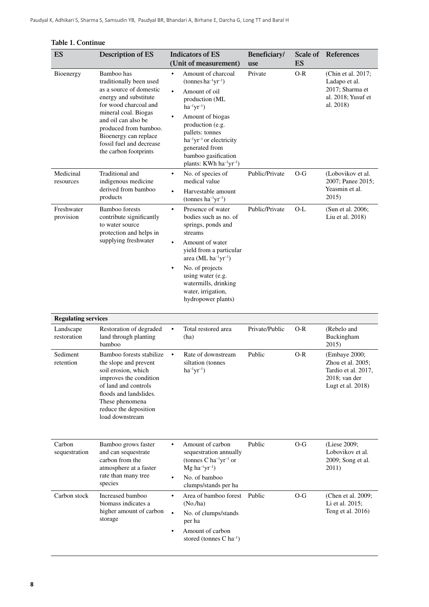| ES                         | Description of ES                                                                                                                                                                                                                                                        | <b>Indicators of ES</b><br>(Unit of measurement)                                                                                                                                                                                                                                                                                                                     | Beneficiary/<br>use | Scale of<br>ES | References                                                                                         |
|----------------------------|--------------------------------------------------------------------------------------------------------------------------------------------------------------------------------------------------------------------------------------------------------------------------|----------------------------------------------------------------------------------------------------------------------------------------------------------------------------------------------------------------------------------------------------------------------------------------------------------------------------------------------------------------------|---------------------|----------------|----------------------------------------------------------------------------------------------------|
| Bioenergy                  | Bamboo has<br>traditionally been used<br>as a source of domestic<br>energy and substitute<br>for wood charcoal and<br>mineral coal. Biogas<br>and oil can also be<br>produced from bamboo.<br>Bioenergy can replace<br>fossil fuel and decrease<br>the carbon footprints | Amount of charcoal<br>$\bullet$<br>$(\text{tonnes}\, \text{ha}^{-1}\text{yr}^{-1})$<br>Amount of oil<br>$\bullet$<br>production (ML<br>$ha^{-1}yr^{-1}$ )<br>Amount of biogas<br>production (e.g.<br>pallets: tonnes<br>ha <sup>-1</sup> yr <sup>-1</sup> or electricity<br>generated from<br>bamboo gasification<br>plants: KWh ha <sup>-1</sup> yr <sup>-1</sup> ) | Private             | $O-R$          | (Chin et al. 2017;<br>Ladapo et al.<br>2017; Sharma et<br>al. 2018; Yusuf et<br>al. 2018)          |
| Medicinal<br>resources     | Traditional and<br>indigenous medicine<br>derived from bamboo<br>products                                                                                                                                                                                                | No. of species of<br>$\bullet$<br>medical value<br>Harvestable amount<br>$\bullet$<br>(tonnes $ha^{-1}yr^{-1}$ )                                                                                                                                                                                                                                                     | Public/Private      | $O-G$          | (Lobovikov et al.<br>2007; Panee 2015;<br>Yeasmin et al.<br>2015)                                  |
| Freshwater<br>provision    | <b>Bamboo</b> forests<br>contribute significantly<br>to water source<br>protection and helps in<br>supplying freshwater                                                                                                                                                  | Presence of water<br>$\bullet$<br>bodies such as no. of<br>springs, ponds and<br>streams<br>Amount of water<br>$\bullet$<br>yield from a particular<br>area (ML $ha^{-1}yr^{-1}$ )<br>No. of projects<br>$\bullet$<br>using water (e.g.<br>watermills, drinking<br>water, irrigation,<br>hydropower plants)                                                          | Public/Private      | O-L            | (Sun et al. 2006;<br>Liu et al. 2018)                                                              |
| <b>Regulating services</b> |                                                                                                                                                                                                                                                                          |                                                                                                                                                                                                                                                                                                                                                                      |                     |                |                                                                                                    |
| Landscape<br>restoration   | Restoration of degraded<br>land through planting<br>bamboo                                                                                                                                                                                                               | Total restored area<br>(ha)                                                                                                                                                                                                                                                                                                                                          | Private/Public      | $O-R$          | (Rebelo and<br>Buckingham<br>2015)                                                                 |
| Sediment<br>retention      | Bamboo forests stabilize<br>the slope and prevent<br>soil erosion, which<br>improves the condition<br>of land and controls<br>floods and landslides.<br>These phenomena<br>reduce the deposition<br>load downstream                                                      | Rate of downstream<br>$\bullet$<br>siltation (tonnes<br>$ha^{-1}yr^{-1}$ )                                                                                                                                                                                                                                                                                           | Public              | $O-R$          | (Embaye 2000;<br>Zhou et al. 2005;<br>Tardio et al. 2017,<br>$2018$ ; van der<br>Lugt et al. 2018) |
| Carbon<br>sequestration    | Bamboo grows faster<br>and can sequestrate<br>carbon from the<br>atmosphere at a faster<br>rate than many tree<br>species                                                                                                                                                | Amount of carbon<br>$\bullet$<br>sequestration annually<br>(tonnes C ha <sup>-1</sup> yr <sup>-1</sup> or<br>$Mg$ ha <sup>-1</sup> yr <sup>-1</sup> )<br>No. of bamboo<br>$\bullet$<br>clumps/stands per ha                                                                                                                                                          | Public              | O-G            | (Liese 2009;<br>Lobovikov et al.<br>2009; Song et al.<br>2011)                                     |
| Carbon stock               | Increased bamboo<br>biomass indicates a<br>higher amount of carbon<br>storage                                                                                                                                                                                            | Area of bamboo forest<br>$\bullet$<br>(No/ha)<br>$\bullet$<br>No. of clumps/stands<br>per ha<br>Amount of carbon<br>$\bullet$<br>stored (tonnes C ha <sup>-1</sup> )                                                                                                                                                                                                 | Public              | $O-G$          | (Chen et al. 2009;<br>Li et al. 2015;<br>Teng et al. 2016)                                         |

#### **Table 1. Continue**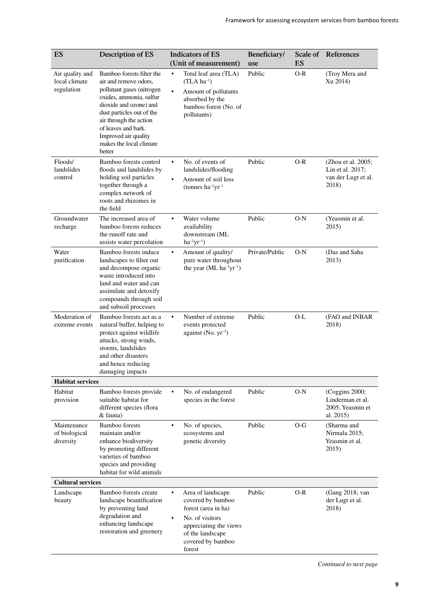| ES                                             | <b>Description of ES</b>                                                                                                                                                                                                                                                        |                | <b>Indicators of ES</b><br>(Unit of measurement)                                                                                                              | Beneficiary/<br>use | Scale of<br>ES | References                                                             |
|------------------------------------------------|---------------------------------------------------------------------------------------------------------------------------------------------------------------------------------------------------------------------------------------------------------------------------------|----------------|---------------------------------------------------------------------------------------------------------------------------------------------------------------|---------------------|----------------|------------------------------------------------------------------------|
| Air quality and<br>local climate<br>regulation | Bamboo forests filter the<br>air and remove odors,<br>pollutant gases (nitrogen<br>oxides, ammonia, sulfur<br>dioxide and ozone) and<br>dust particles out of the<br>air through the action<br>of leaves and bark.<br>Improved air quality<br>makes the local climate<br>better | $\bullet$      | Total leaf area (TLA)<br>$(TLA ha^{-1})$<br>Amount of pollutants<br>absorbed by the<br>bamboo forest (No. of<br>pollutants)                                   | Public              | $O-R$          | (Troy Mera and<br>Xu 2014)                                             |
| Floods/<br>landslides<br>control               | Bamboo forests control<br>floods and landslides by<br>holding soil particles<br>together through a<br>complex network of<br>roots and rhizomes in<br>the field                                                                                                                  | $\bullet$<br>٠ | No. of events of<br>landslides/flooding<br>Amount of soil loss<br>(tonnes $ha^{-1}yr^{-1}$                                                                    | Public              | $O-R$          | (Zhou et al. 2005;<br>Lin et al. 2017;<br>van der Lugt et al.<br>2018) |
| Groundwater<br>recharge                        | The increased area of<br>bamboo forests reduces<br>the runoff rate and<br>assists water percolation                                                                                                                                                                             | ٠              | Water volume<br>availability<br>downstream (ML<br>$ha^{-1}yr^{-1}$ )                                                                                          | Public              | $O-N$          | (Yeasmin et al.<br>2015)                                               |
| Water<br>purification                          | Bamboo forests induce<br>landscapes to filter out<br>and decompose organic<br>waste introduced into<br>land and water and can<br>assimilate and detoxify<br>compounds through soil<br>and subsoil processes                                                                     | ٠              | Amount of quality/<br>pure water throughout<br>the year (ML $ha^{-1}yr^{-1}$ )                                                                                | Private/Public      | $O-N$          | (Das and Saha<br>2013)                                                 |
| Moderation of<br>extreme events                | Bamboo forests act as a<br>natural buffer, helping to<br>protect against wildlife<br>attacks, strong winds,<br>storms, landslides<br>and other disasters<br>and hence reducing<br>damaging impacts                                                                              | ٠              | Number of extreme<br>events protected<br>against (No. $yr^{-1}$ )                                                                                             | Public              | $O-L$          | (FAO and INBAR<br>2018)                                                |
| <b>Habitat services</b>                        |                                                                                                                                                                                                                                                                                 |                |                                                                                                                                                               |                     |                |                                                                        |
| Habitat<br>provision                           | Bamboo forests provide<br>suitable habitat for<br>different species (flora<br>& fauna)                                                                                                                                                                                          |                | No. of endangered<br>species in the forest                                                                                                                    | Public              | $O-N$          | (Coggins 2000;<br>Linderman et al.<br>2005; Yeasmin et<br>al. 2015)    |
| Maintenance<br>of biological<br>diversity      | <b>Bamboo</b> forests<br>maintain and/or<br>enhance biodiversity<br>by promoting different<br>varieties of bamboo<br>species and providing<br>habitat for wild animals                                                                                                          |                | No. of species,<br>ecosystems and<br>genetic diversity                                                                                                        | Public              | $O-G$          | (Sharma and<br>Nirmala 2015;<br>Yeasmin et al.<br>2015)                |
| <b>Cultural services</b>                       |                                                                                                                                                                                                                                                                                 |                |                                                                                                                                                               |                     |                |                                                                        |
| Landscape<br>beauty                            | Bamboo forests create<br>landscape beautification<br>by preventing land<br>degradation and<br>enhancing landscape<br>restoration and greenery                                                                                                                                   |                | Area of landscape<br>covered by bamboo<br>forest (area in ha)<br>No. of visitors<br>appreciating the views<br>of the landscape<br>covered by bamboo<br>forest | Public              | $O-R$          | (Gang 2018; van<br>der Lugt et al.<br>2018)                            |

*Continued to next page*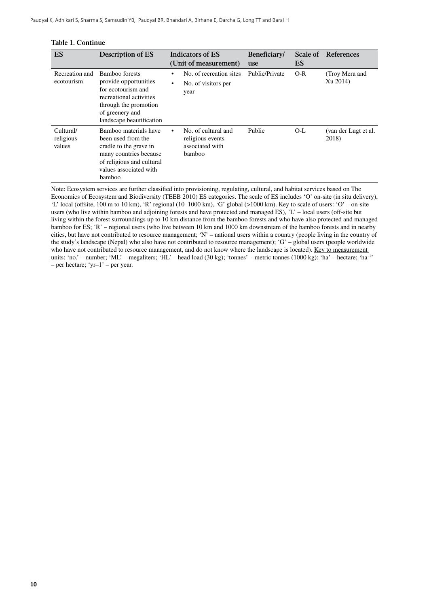| ES                               | Description of ES                                                                                                                                                |                        | <b>Indicators of ES</b><br>(Unit of measurement)                     | Beneficiary/<br>use | Scale of<br><b>ES</b> | <b>References</b>              |
|----------------------------------|------------------------------------------------------------------------------------------------------------------------------------------------------------------|------------------------|----------------------------------------------------------------------|---------------------|-----------------------|--------------------------------|
| Recreation and<br>ecotourism     | Bamboo forests<br>provide opportunities<br>for ecotourism and<br>recreational activities<br>through the promotion<br>of greenery and<br>landscape beautification | $\bullet$<br>$\bullet$ | No. of recreation sites<br>No. of visitors per<br>year               | Public/Private      | $O-R$                 | (Troy Mera and<br>Xu 2014)     |
| Cultural/<br>religious<br>values | Bamboo materials have<br>been used from the<br>cradle to the grave in<br>many countries because<br>of religious and cultural<br>values associated with<br>bamboo |                        | No. of cultural and<br>religious events<br>associated with<br>bamboo | Public              | $O-I$ .               | (van der Lugt et al.)<br>2018) |

#### **Table 1. Continue**

Note: Ecosystem services are further classified into provisioning, regulating, cultural, and habitat services based on The Economics of Ecosystem and Biodiversity (TEEB 2010) ES categories. The scale of ES includes 'O' on-site (in situ delivery), 'L' local (offsite, 100 m to 10 km), 'R' regional (10–1000 km), 'G' global (>1000 km). Key to scale of users: 'O' – on-site users (who live within bamboo and adjoining forests and have protected and managed ES), 'L' – local users (off-site but living within the forest surroundings up to 10 km distance from the bamboo forests and who have also protected and managed bamboo for ES; 'R' – regional users (who live between 10 km and 1000 km downstream of the bamboo forests and in nearby cities, but have not contributed to resource management; 'N' – national users within a country (people living in the country of the study's landscape (Nepal) who also have not contributed to resource management); 'G' – global users (people worldwide who have not contributed to resource management, and do not know where the landscape is located). Key to measurement units: 'no.' – number; 'ML' – megaliters; 'HL' – head load  $(30 \text{ kg})$ ; 'tonnes' – metric tonnes  $(1000 \text{ kg})$ ; 'ha' – hectare; 'ha<sup>-1</sup>' – per hectare; 'yr–1' – per year.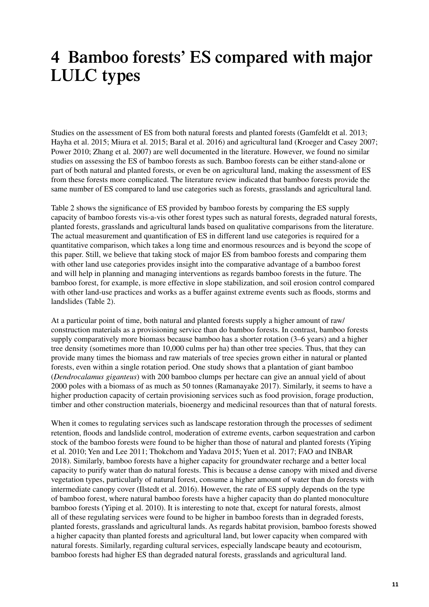# <span id="page-18-0"></span>**4 Bamboo forests' ES compared with major LULC types**

Studies on the assessment of ES from both natural forests and planted forests (Gamfeldt et al. 2013; Hayha et al. 2015; Miura et al. 2015; Baral et al. 2016) and agricultural land (Kroeger and Casey 2007; Power 2010; Zhang et al. 2007) are well documented in the literature. However, we found no similar studies on assessing the ES of bamboo forests as such. Bamboo forests can be either stand-alone or part of both natural and planted forests, or even be on agricultural land, making the assessment of ES from these forests more complicated. The literature review indicated that bamboo forests provide the same number of ES compared to land use categories such as forests, grasslands and agricultural land.

Table 2 shows the significance of ES provided by bamboo forests by comparing the ES supply capacity of bamboo forests vis-a-vis other forest types such as natural forests, degraded natural forests, planted forests, grasslands and agricultural lands based on qualitative comparisons from the literature. The actual measurement and quantification of ES in different land use categories is required for a quantitative comparison, which takes a long time and enormous resources and is beyond the scope of this paper. Still, we believe that taking stock of major ES from bamboo forests and comparing them with other land use categories provides insight into the comparative advantage of a bamboo forest and will help in planning and managing interventions as regards bamboo forests in the future. The bamboo forest, for example, is more effective in slope stabilization, and soil erosion control compared with other land-use practices and works as a buffer against extreme events such as floods, storms and landslides (Table 2).

At a particular point of time, both natural and planted forests supply a higher amount of raw/ construction materials as a provisioning service than do bamboo forests. In contrast, bamboo forests supply comparatively more biomass because bamboo has a shorter rotation (3–6 years) and a higher tree density (sometimes more than 10,000 culms per ha) than other tree species. Thus, that they can provide many times the biomass and raw materials of tree species grown either in natural or planted forests, even within a single rotation period. One study shows that a plantation of giant bamboo (*Dendrocalamus giganteus*) with 200 bamboo clumps per hectare can give an annual yield of about 2000 poles with a biomass of as much as 50 tonnes (Ramanayake 2017). Similarly, it seems to have a higher production capacity of certain provisioning services such as food provision, forage production, timber and other construction materials, bioenergy and medicinal resources than that of natural forests.

When it comes to regulating services such as landscape restoration through the processes of sediment retention, floods and landslide control, moderation of extreme events, carbon sequestration and carbon stock of the bamboo forests were found to be higher than those of natural and planted forests (Yiping et al. 2010; Yen and Lee 2011; Thokchom and Yadava 2015; Yuen et al. 2017; FAO and INBAR 2018). Similarly, bamboo forests have a higher capacity for groundwater recharge and a better local capacity to purify water than do natural forests. This is because a dense canopy with mixed and diverse vegetation types, particularly of natural forest, consume a higher amount of water than do forests with intermediate canopy cover (Ilstedt et al. 2016). However, the rate of ES supply depends on the type of bamboo forest, where natural bamboo forests have a higher capacity than do planted monoculture bamboo forests (Yiping et al. 2010). It is interesting to note that, except for natural forests, almost all of these regulating services were found to be higher in bamboo forests than in degraded forests, planted forests, grasslands and agricultural lands. As regards habitat provision, bamboo forests showed a higher capacity than planted forests and agricultural land, but lower capacity when compared with natural forests. Similarly, regarding cultural services, especially landscape beauty and ecotourism, bamboo forests had higher ES than degraded natural forests, grasslands and agricultural land.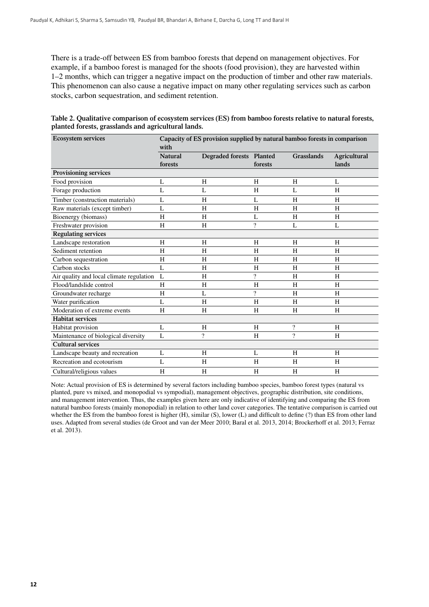There is a trade-off between ES from bamboo forests that depend on management objectives. For example, if a bamboo forest is managed for the shoots (food provision), they are harvested within 1–2 months, which can trigger a negative impact on the production of timber and other raw materials. This phenomenon can also cause a negative impact on many other regulating services such as carbon stocks, carbon sequestration, and sediment retention.

**Table 2. Qualitative comparison of ecosystem services (ES) from bamboo forests relative to natural forests, planted forests, grasslands and agricultural lands.**

| <b>Ecosystem services</b>                | Capacity of ES provision supplied by natural bamboo forests in comparison<br>with |                          |                          |                          |                       |  |  |  |
|------------------------------------------|-----------------------------------------------------------------------------------|--------------------------|--------------------------|--------------------------|-----------------------|--|--|--|
|                                          | <b>Natural</b><br>forests                                                         | Degraded forests Planted | forests                  | <b>Grasslands</b>        | Agricultural<br>lands |  |  |  |
| Provisioning services                    |                                                                                   |                          |                          |                          |                       |  |  |  |
| Food provision                           | L                                                                                 | H                        | H                        | H                        | L                     |  |  |  |
| Forage production                        | L                                                                                 | L                        | H                        | L                        | H                     |  |  |  |
| Timber (construction materials)          | L                                                                                 | H                        | L                        | H                        | H                     |  |  |  |
| Raw materials (except timber)            | L                                                                                 | H                        | H                        | H                        | H                     |  |  |  |
| Bioenergy (biomass)                      | H                                                                                 | H                        | L                        | H                        | H                     |  |  |  |
| Freshwater provision                     | H                                                                                 | H                        | $\overline{\cdot}$       | L                        | L                     |  |  |  |
| <b>Regulating services</b>               |                                                                                   |                          |                          |                          |                       |  |  |  |
| Landscape restoration                    | H                                                                                 | H                        | H                        | H                        | H                     |  |  |  |
| Sediment retention                       | H                                                                                 | H                        | H                        | H                        | H                     |  |  |  |
| Carbon sequestration                     | H                                                                                 | H                        | H                        | H                        | H                     |  |  |  |
| Carbon stocks                            | $\mathbf{L}$                                                                      | H                        | H                        | H                        | H                     |  |  |  |
| Air quality and local climate regulation | L                                                                                 | H                        | $\overline{\cdot}$       | H                        | H                     |  |  |  |
| Flood/landslide control                  | H                                                                                 | H                        | H                        | H                        | H                     |  |  |  |
| Groundwater recharge                     | H                                                                                 | L                        | $\overline{\mathcal{L}}$ | H                        | H                     |  |  |  |
| Water purification                       | L                                                                                 | H                        | H                        | H                        | H                     |  |  |  |
| Moderation of extreme events             | H                                                                                 | H                        | H                        | H                        | H                     |  |  |  |
| <b>Habitat services</b>                  |                                                                                   |                          |                          |                          |                       |  |  |  |
| Habitat provision                        | L                                                                                 | H                        | H                        | $\overline{\cdot}$       | H                     |  |  |  |
| Maintenance of biological diversity      | $\mathbf{L}$                                                                      | $\gamma$                 | H                        | $\overline{\mathcal{L}}$ | H                     |  |  |  |
| <b>Cultural services</b>                 |                                                                                   |                          |                          |                          |                       |  |  |  |
| Landscape beauty and recreation          | L                                                                                 | H                        | L                        | H                        | H                     |  |  |  |
| Recreation and ecotourism                | $\mathbf{L}$                                                                      | H                        | H                        | H                        | H                     |  |  |  |
| Cultural/religious values                | H                                                                                 | H                        | H                        | H                        | H                     |  |  |  |

Note: Actual provision of ES is determined by several factors including bamboo species, bamboo forest types (natural vs planted, pure vs mixed, and monopodial vs sympodial), management objectives, geographic distribution, site conditions, and management intervention. Thus, the examples given here are only indicative of identifying and comparing the ES from natural bamboo forests (mainly monopodial) in relation to other land cover categories. The tentative comparison is carried out whether the ES from the bamboo forest is higher (H), similar (S), lower (L) and difficult to define (?) than ES from other land uses. Adapted from several studies (de Groot and van der Meer 2010; Baral et al. 2013, 2014; Brockerhoff et al. 2013; Ferraz et al. 2013).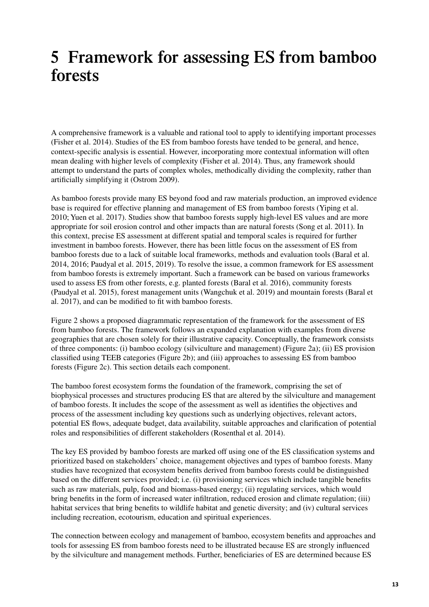# <span id="page-20-0"></span>**5 Framework for assessing ES from bamboo forests**

A comprehensive framework is a valuable and rational tool to apply to identifying important processes (Fisher et al. 2014). Studies of the ES from bamboo forests have tended to be general, and hence, context-specific analysis is essential. However, incorporating more contextual information will often mean dealing with higher levels of complexity (Fisher et al. 2014). Thus, any framework should attempt to understand the parts of complex wholes, methodically dividing the complexity, rather than artificially simplifying it (Ostrom 2009).

As bamboo forests provide many ES beyond food and raw materials production, an improved evidence base is required for effective planning and management of ES from bamboo forests (Yiping et al. 2010; Yuen et al. 2017). Studies show that bamboo forests supply high-level ES values and are more appropriate for soil erosion control and other impacts than are natural forests (Song et al. 2011). In this context, precise ES assessment at different spatial and temporal scales is required for further investment in bamboo forests. However, there has been little focus on the assessment of ES from bamboo forests due to a lack of suitable local frameworks, methods and evaluation tools (Baral et al. 2014, 2016; Paudyal et al. 2015, 2019). To resolve the issue, a common framework for ES assessment from bamboo forests is extremely important. Such a framework can be based on various frameworks used to assess ES from other forests, e.g. planted forests (Baral et al. 2016), community forests (Paudyal et al. 2015), forest management units (Wangchuk et al. 2019) and mountain forests (Baral et al. 2017), and can be modified to fit with bamboo forests.

Figure 2 shows a proposed diagrammatic representation of the framework for the assessment of ES from bamboo forests. The framework follows an expanded explanation with examples from diverse geographies that are chosen solely for their illustrative capacity. Conceptually, the framework consists of three components: (i) bamboo ecology (silviculture and management) (Figure 2a); (ii) ES provision classified using TEEB categories (Figure 2b); and (iii) approaches to assessing ES from bamboo forests (Figure 2c). This section details each component.

The bamboo forest ecosystem forms the foundation of the framework, comprising the set of biophysical processes and structures producing ES that are altered by the silviculture and management of bamboo forests. It includes the scope of the assessment as well as identifies the objectives and process of the assessment including key questions such as underlying objectives, relevant actors, potential ES flows, adequate budget, data availability, suitable approaches and clarification of potential roles and responsibilities of different stakeholders (Rosenthal et al. 2014).

The key ES provided by bamboo forests are marked off using one of the ES classification systems and prioritized based on stakeholders' choice, management objectives and types of bamboo forests. Many studies have recognized that ecosystem benefits derived from bamboo forests could be distinguished based on the different services provided; i.e. (i) provisioning services which include tangible benefits such as raw materials, pulp, food and biomass-based energy; (ii) regulating services, which would bring benefits in the form of increased water infiltration, reduced erosion and climate regulation; (iii) habitat services that bring benefits to wildlife habitat and genetic diversity; and (iv) cultural services including recreation, ecotourism, education and spiritual experiences.

The connection between ecology and management of bamboo, ecosystem benefits and approaches and tools for assessing ES from bamboo forests need to be illustrated because ES are strongly influenced by the silviculture and management methods. Further, beneficiaries of ES are determined because ES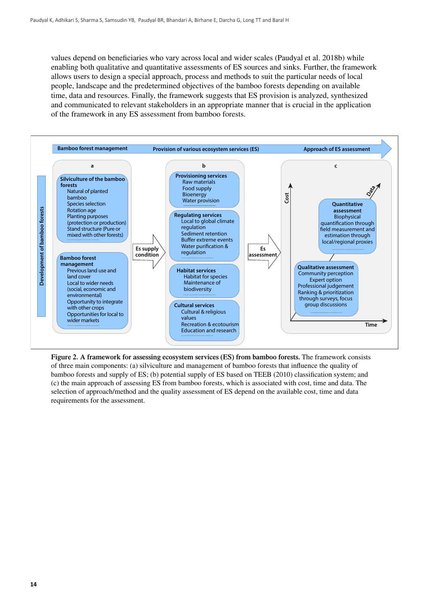values depend on beneficiaries who vary across local and wider scales (Paudyal et al. 2018b) while enabling both qualitative and quantitative assessments of ES sources and sinks. Further, the framework allows users to design a special approach, process and methods to suit the particular needs of local people, landscape and the predetermined objectives of the bamboo forests depending on available time, data and resources. Finally, the framework suggests that ES provision is analyzed, synthesized and communicated to relevant stakeholders in an appropriate manner that is crucial in the application of the framework in any ES assessment from bamboo forests.



**Figure 2. A framework for assessing ecosystem services (ES) from bamboo forests.** The framework consists of three main components: (a) silviculture and management of bamboo forests that influence the quality of bamboo forests and supply of ES; (b) potential supply of ES based on TEEB (2010) classification system; and (c) the main approach of assessing ES from bamboo forests, which is associated with cost, time and data. The selection of approach/method and the quality assessment of ES depend on the available cost, time and data requirements for the assessment.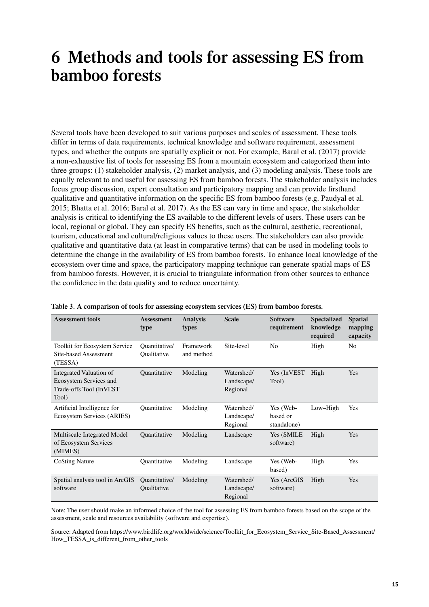# <span id="page-22-0"></span>**6 Methods and tools for assessing ES from bamboo forests**

Several tools have been developed to suit various purposes and scales of assessment. These tools differ in terms of data requirements, technical knowledge and software requirement, assessment types, and whether the outputs are spatially explicit or not. For example, Baral et al. (2017) provide a non-exhaustive list of tools for assessing ES from a mountain ecosystem and categorized them into three groups: (1) stakeholder analysis, (2) market analysis, and (3) modeling analysis. These tools are equally relevant to and useful for assessing ES from bamboo forests. The stakeholder analysis includes focus group discussion, expert consultation and participatory mapping and can provide firsthand qualitative and quantitative information on the specific ES from bamboo forests (e.g. Paudyal et al. 2015; Bhatta et al. 2016; Baral et al. 2017). As the ES can vary in time and space, the stakeholder analysis is critical to identifying the ES available to the different levels of users. These users can be local, regional or global. They can specify ES benefits, such as the cultural, aesthetic, recreational, tourism, educational and cultural/religious values to these users. The stakeholders can also provide qualitative and quantitative data (at least in comparative terms) that can be used in modeling tools to determine the change in the availability of ES from bamboo forests. To enhance local knowledge of the ecosystem over time and space, the participatory mapping technique can generate spatial maps of ES from bamboo forests. However, it is crucial to triangulate information from other sources to enhance the confidence in the data quality and to reduce uncertainty.

| <b>Assessment tools</b>                                                               | Assessment<br>type           | <b>Analysis</b><br>types | <b>Scale</b>                         | <b>Software</b><br>requirement       | <b>Specialized</b><br>knowledge<br>required | <b>Spatial</b><br>mapping<br>capacity |
|---------------------------------------------------------------------------------------|------------------------------|--------------------------|--------------------------------------|--------------------------------------|---------------------------------------------|---------------------------------------|
| <b>Toolkit for Ecosystem Service</b><br>Site-based Assessment<br>(TESSA)              | Quantitative/<br>Qualitative | Framework<br>and method  | Site-level                           | N <sub>0</sub>                       | High                                        | N <sub>o</sub>                        |
| Integrated Valuation of<br>Ecosystem Services and<br>Trade-offs Tool (InVEST<br>Tool) | <b>Ouantitative</b>          | Modeling                 | Watershed/<br>Landscape/<br>Regional | Yes (InVEST)<br>Tool)                | High                                        | <b>Yes</b>                            |
| Artificial Intelligence for<br>Ecosystem Services (ARIES)                             | Quantitative                 | Modeling                 | Watershed/<br>Landscape/<br>Regional | Yes (Web-<br>based or<br>standalone) | Low-High                                    | Yes                                   |
| Multiscale Integrated Model<br>of Ecosystem Services<br>(MIMES)                       | <b>Ouantitative</b>          | Modeling                 | Landscape                            | Yes (SMILE<br>software)              | High                                        | Yes                                   |
| Co <sub>sting</sub> Nature                                                            | Ouantitative                 | Modeling                 | Landscape                            | Yes (Web-<br>based)                  | High                                        | Yes                                   |
| Spatial analysis tool in ArcGIS<br>software                                           | Ouantitative/<br>Qualitative | Modeling                 | Watershed/<br>Landscape/<br>Regional | Yes (ArcGIS<br>software)             | High                                        | Yes                                   |

|  |  | Table 3. A comparison of tools for assessing ecosystem services (ES) from bamboo forests. |  |  |
|--|--|-------------------------------------------------------------------------------------------|--|--|
|  |  |                                                                                           |  |  |

Note: The user should make an informed choice of the tool for assessing ES from bamboo forests based on the scope of the assessment, scale and resources availability (software and expertise).

Source: Adapted from https://www.birdlife.org/worldwide/science/Toolkit\_for\_Ecosystem\_Service\_Site-Based\_Assessment/ How\_TESSA\_is\_different\_from\_other\_tools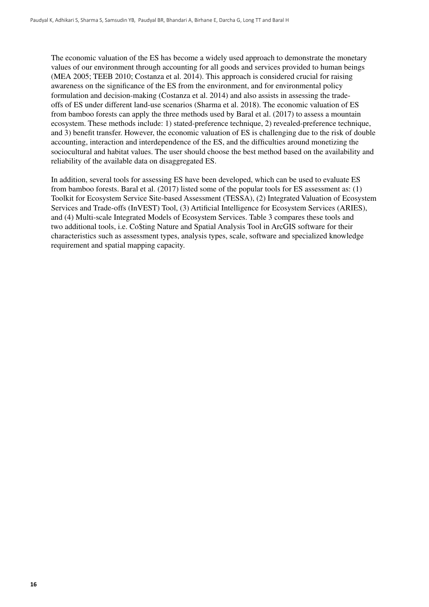The economic valuation of the ES has become a widely used approach to demonstrate the monetary values of our environment through accounting for all goods and services provided to human beings (MEA 2005; TEEB 2010; Costanza et al. 2014). This approach is considered crucial for raising awareness on the significance of the ES from the environment, and for environmental policy formulation and decision-making (Costanza et al. 2014) and also assists in assessing the tradeoffs of ES under different land-use scenarios (Sharma et al. 2018). The economic valuation of ES from bamboo forests can apply the three methods used by Baral et al. (2017) to assess a mountain ecosystem. These methods include: 1) stated-preference technique, 2) revealed-preference technique, and 3) benefit transfer. However, the economic valuation of ES is challenging due to the risk of double accounting, interaction and interdependence of the ES, and the difficulties around monetizing the sociocultural and habitat values. The user should choose the best method based on the availability and reliability of the available data on disaggregated ES.

In addition, several tools for assessing ES have been developed, which can be used to evaluate ES from bamboo forests. Baral et al. (2017) listed some of the popular tools for ES assessment as: (1) Toolkit for Ecosystem Service Site-based Assessment (TESSA), (2) Integrated Valuation of Ecosystem Services and Trade-offs (InVEST) Tool, (3) Artificial Intelligence for Ecosystem Services (ARIES), and (4) Multi-scale Integrated Models of Ecosystem Services. Table 3 compares these tools and two additional tools, i.e. Co\$ting Nature and Spatial Analysis Tool in ArcGIS software for their characteristics such as assessment types, analysis types, scale, software and specialized knowledge requirement and spatial mapping capacity.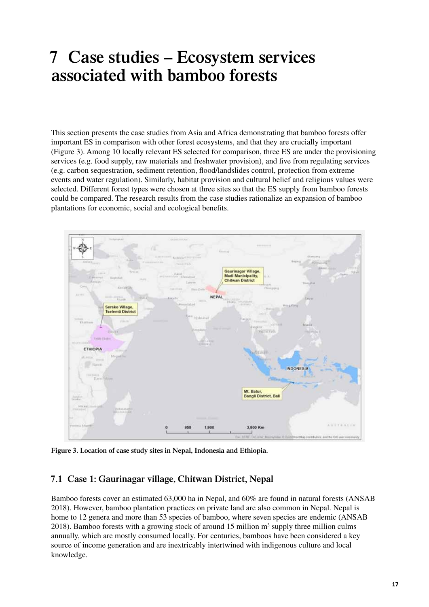# <span id="page-24-0"></span>**7 Case studies – Ecosystem services associated with bamboo forests**

This section presents the case studies from Asia and Africa demonstrating that bamboo forests offer important ES in comparison with other forest ecosystems, and that they are crucially important (Figure 3). Among 10 locally relevant ES selected for comparison, three ES are under the provisioning services (e.g. food supply, raw materials and freshwater provision), and five from regulating services (e.g. carbon sequestration, sediment retention, flood/landslides control, protection from extreme events and water regulation). Similarly, habitat provision and cultural belief and religious values were selected. Different forest types were chosen at three sites so that the ES supply from bamboo forests could be compared. The research results from the case studies rationalize an expansion of bamboo plantations for economic, social and ecological benefits.



**Figure 3. Location of case study sites in Nepal, Indonesia and Ethiopia.**

### **7.1 Case 1: Gaurinagar village, Chitwan District, Nepal**

Bamboo forests cover an estimated 63,000 ha in Nepal, and 60% are found in natural forests (ANSAB 2018). However, bamboo plantation practices on private land are also common in Nepal. Nepal is home to 12 genera and more than 53 species of bamboo, where seven species are endemic (ANSAB) 2018). Bamboo forests with a growing stock of around 15 million  $m<sup>3</sup>$  supply three million culms annually, which are mostly consumed locally. For centuries, bamboos have been considered a key source of income generation and are inextricably intertwined with indigenous culture and local knowledge.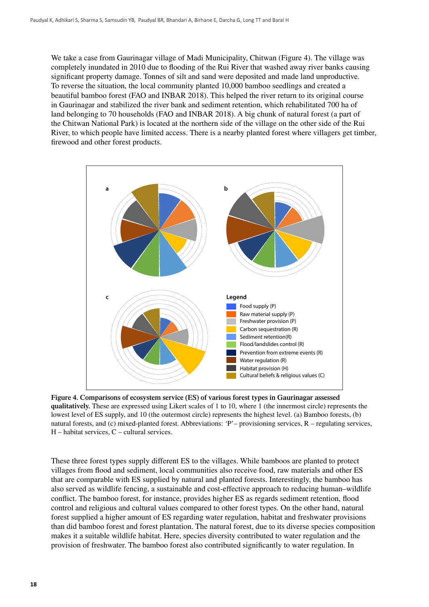We take a case from Gaurinagar village of Madi Municipality, Chitwan (Figure 4). The village was completely inundated in 2010 due to flooding of the Rui River that washed away river banks causing significant property damage. Tonnes of silt and sand were deposited and made land unproductive. To reverse the situation, the local community planted 10,000 bamboo seedlings and created a beautiful bamboo forest (FAO and INBAR 2018). This helped the river return to its original course in Gaurinagar and stabilized the river bank and sediment retention, which rehabilitated 700 ha of land belonging to 70 households (FAO and INBAR 2018). A big chunk of natural forest (a part of the Chitwan National Park) is located at the northern side of the village on the other side of the Rui River, to which people have limited access. There is a nearby planted forest where villagers get timber, firewood and other forest products.



**Figure 4. Comparisons of ecosystem service (ES) of various forest types in Gaurinagar assessed qualitatively.** These are expressed using Likert scales of 1 to 10, where 1 (the innermost circle) represents the lowest level of ES supply, and 10 (the outermost circle) represents the highest level. (a) Bamboo forests, (b) natural forests, and (c) mixed-planted forest. Abbreviations: 'P'– provisioning services, R – regulating services, H – habitat services, C – cultural services.

These three forest types supply different ES to the villages. While bamboos are planted to protect villages from flood and sediment, local communities also receive food, raw materials and other ES that are comparable with ES supplied by natural and planted forests. Interestingly, the bamboo has also served as wildlife fencing, a sustainable and cost-effective approach to reducing human–wildlife conflict. The bamboo forest, for instance, provides higher ES as regards sediment retention, flood control and religious and cultural values compared to other forest types. On the other hand, natural forest supplied a higher amount of ES regarding water regulation, habitat and freshwater provisions than did bamboo forest and forest plantation. The natural forest, due to its diverse species composition makes it a suitable wildlife habitat. Here, species diversity contributed to water regulation and the provision of freshwater. The bamboo forest also contributed significantly to water regulation. In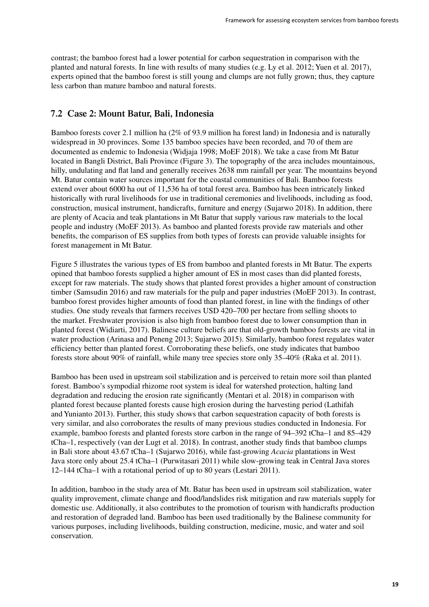<span id="page-26-0"></span>contrast; the bamboo forest had a lower potential for carbon sequestration in comparison with the planted and natural forests. In line with results of many studies (e.g. Ly et al. 2012; Yuen et al. 2017), experts opined that the bamboo forest is still young and clumps are not fully grown; thus, they capture less carbon than mature bamboo and natural forests.

### **7.2 Case 2: Mount Batur, Bali, Indonesia**

Bamboo forests cover 2.1 million ha (2% of 93.9 million ha forest land) in Indonesia and is naturally widespread in 30 provinces. Some 135 bamboo species have been recorded, and 70 of them are documented as endemic to Indonesia (Widjaja 1998; MoEF 2018). We take a case from Mt Batur located in Bangli District, Bali Province (Figure 3). The topography of the area includes mountainous, hilly, undulating and flat land and generally receives 2638 mm rainfall per year. The mountains beyond Mt. Batur contain water sources important for the coastal communities of Bali. Bamboo forests extend over about 6000 ha out of 11,536 ha of total forest area. Bamboo has been intricately linked historically with rural livelihoods for use in traditional ceremonies and livelihoods, including as food, construction, musical instrument, handicrafts, furniture and energy (Sujarwo 2018). In addition, there are plenty of Acacia and teak plantations in Mt Batur that supply various raw materials to the local people and industry (MoEF 2013). As bamboo and planted forests provide raw materials and other benefits, the comparison of ES supplies from both types of forests can provide valuable insights for forest management in Mt Batur.

Figure 5 illustrates the various types of ES from bamboo and planted forests in Mt Batur. The experts opined that bamboo forests supplied a higher amount of ES in most cases than did planted forests, except for raw materials. The study shows that planted forest provides a higher amount of construction timber (Samsudin 2016) and raw materials for the pulp and paper industries (MoEF 2013). In contrast, bamboo forest provides higher amounts of food than planted forest, in line with the findings of other studies. One study reveals that farmers receives USD 420–700 per hectare from selling shoots to the market. Freshwater provision is also high from bamboo forest due to lower consumption than in planted forest (Widiarti, 2017). Balinese culture beliefs are that old-growth bamboo forests are vital in water production (Arinasa and Peneng 2013; Sujarwo 2015). Similarly, bamboo forest regulates water efficiency better than planted forest. Corroborating these beliefs, one study indicates that bamboo forests store about 90% of rainfall, while many tree species store only 35–40% (Raka et al. 2011).

Bamboo has been used in upstream soil stabilization and is perceived to retain more soil than planted forest. Bamboo's sympodial rhizome root system is ideal for watershed protection, halting land degradation and reducing the erosion rate significantly (Mentari et al. 2018) in comparison with planted forest because planted forests cause high erosion during the harvesting period (Lathifah and Yunianto 2013). Further, this study shows that carbon sequestration capacity of both forests is very similar, and also corroborates the results of many previous studies conducted in Indonesia. For example, bamboo forests and planted forests store carbon in the range of 94–392 tCha–1 and 85–429 tCha–1, respectively (van der Lugt et al. 2018). In contrast, another study finds that bamboo clumps in Bali store about 43.67 tCha–1 (Sujarwo 2016), while fast-growing *Acacia* plantations in West Java store only about 25.4 tCha–1 (Purwitasari 2011) while slow-growing teak in Central Java stores 12–144 tCha–1 with a rotational period of up to 80 years (Lestari 2011).

In addition, bamboo in the study area of Mt. Batur has been used in upstream soil stabilization, water quality improvement, climate change and flood/landslides risk mitigation and raw materials supply for domestic use. Additionally, it also contributes to the promotion of tourism with handicrafts production and restoration of degraded land. Bamboo has been used traditionally by the Balinese community for various purposes, including livelihoods, building construction, medicine, music, and water and soil conservation.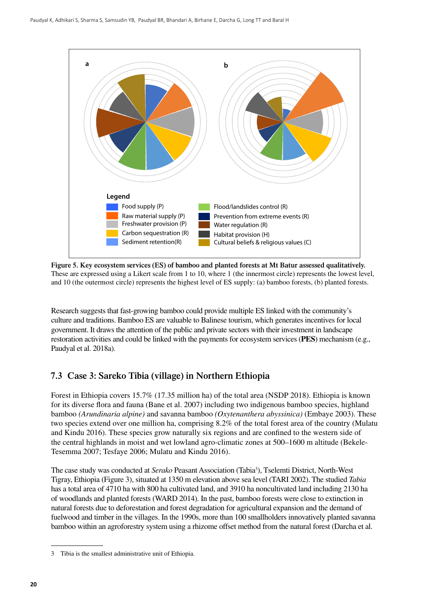<span id="page-27-0"></span>

**Figure 5. Key ecosystem services (ES) of bamboo and planted forests at Mt Batur assessed qualitatively.**  These are expressed using a Likert scale from 1 to 10, where 1 (the innermost circle) represents the lowest level, and 10 (the outermost circle) represents the highest level of ES supply: (a) bamboo forests, (b) planted forests.

Research suggests that fast-growing bamboo could provide multiple ES linked with the community's culture and traditions. Bamboo ES are valuable to Balinese tourism, which generates incentives for local government. It draws the attention of the public and private sectors with their investment in landscape restoration activities and could be linked with the payments for ecosystem services (**PES**) mechanism (e.g., Paudyal et al. 2018a).

### **7.3 Case 3: Sareko Tibia (village) in Northern Ethiopia**

Forest in Ethiopia covers 15.7% (17.35 million ha) of the total area (NSDP 2018). Ethiopia is known for its diverse flora and fauna (Bane et al. 2007) including two indigenous bamboo species, highland bamboo *(Arundinaria alpine)* and savanna bamboo *(Oxytenanthera abyssinica)* (Embaye 2003). These two species extend over one million ha, comprising 8.2% of the total forest area of the country (Mulatu and Kindu 2016). These species grow naturally six regions and are confined to the western side of the central highlands in moist and wet lowland agro-climatic zones at 500–1600 m altitude (Bekele-Tesemma 2007; Tesfaye 2006; Mulatu and Kindu 2016).

The case study was conducted at *Serako* Peasant Association (Tabia<sup>3</sup>), Tselemti District, North-West Tigray, Ethiopia (Figure 3), situated at 1350 m elevation above sea level (TARI 2002). The studied *Tabia* has a total area of 4710 ha with 800 ha cultivated land, and 3910 ha noncultivated land including 2130 ha of woodlands and planted forests (WARD 2014). In the past, bamboo forests were close to extinction in natural forests due to deforestation and forest degradation for agricultural expansion and the demand of fuelwood and timber in the villages. In the 1990s, more than 100 smallholders innovatively planted savanna bamboo within an agroforestry system using a rhizome offset method from the natural forest (Darcha et al.

<sup>3</sup> Tibia is the smallest administrative unit of Ethiopia.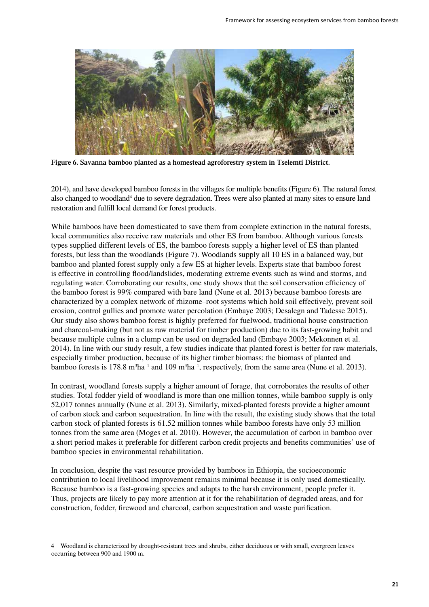

**Figure 6. Savanna bamboo planted as a homestead agroforestry system in Tselemti District.**

2014), and have developed bamboo forests in the villages for multiple benefits (Figure 6). The natural forest also changed to woodland<sup>4</sup> due to severe degradation. Trees were also planted at many sites to ensure land restoration and fulfill local demand for forest products.

While bamboos have been domesticated to save them from complete extinction in the natural forests, local communities also receive raw materials and other ES from bamboo. Although various forests types supplied different levels of ES, the bamboo forests supply a higher level of ES than planted forests, but less than the woodlands (Figure 7). Woodlands supply all 10 ES in a balanced way, but bamboo and planted forest supply only a few ES at higher levels. Experts state that bamboo forest is effective in controlling flood/landslides, moderating extreme events such as wind and storms, and regulating water. Corroborating our results, one study shows that the soil conservation efficiency of the bamboo forest is 99% compared with bare land (Nune et al. 2013) because bamboo forests are characterized by a complex network of rhizome–root systems which hold soil effectively, prevent soil erosion, control gullies and promote water percolation (Embaye 2003; Desalegn and Tadesse 2015). Our study also shows bamboo forest is highly preferred for fuelwood, traditional house construction and charcoal-making (but not as raw material for timber production) due to its fast-growing habit and because multiple culms in a clump can be used on degraded land (Embaye 2003; Mekonnen et al. 2014). In line with our study result, a few studies indicate that planted forest is better for raw materials, especially timber production, because of its higher timber biomass: the biomass of planted and bamboo forests is 178.8 m<sup>3</sup>ha<sup>-1</sup> and 109 m<sup>3</sup>ha<sup>-1</sup>, respectively, from the same area (Nune et al. 2013).

In contrast, woodland forests supply a higher amount of forage, that corroborates the results of other studies. Total fodder yield of woodland is more than one million tonnes, while bamboo supply is only 52,017 tonnes annually (Nune et al. 2013). Similarly, mixed-planted forests provide a higher amount of carbon stock and carbon sequestration. In line with the result, the existing study shows that the total carbon stock of planted forests is 61.52 million tonnes while bamboo forests have only 53 million tonnes from the same area (Moges et al. 2010). However, the accumulation of carbon in bamboo over a short period makes it preferable for different carbon credit projects and benefits communities' use of bamboo species in environmental rehabilitation.

In conclusion, despite the vast resource provided by bamboos in Ethiopia, the socioeconomic contribution to local livelihood improvement remains minimal because it is only used domestically. Because bamboo is a fast-growing species and adapts to the harsh environment, people prefer it. Thus, projects are likely to pay more attention at it for the rehabilitation of degraded areas, and for construction, fodder, firewood and charcoal, carbon sequestration and waste purification.

<sup>4</sup> Woodland is characterized by drought-resistant trees and shrubs, either deciduous or with small, evergreen leaves occurring between 900 and 1900 m.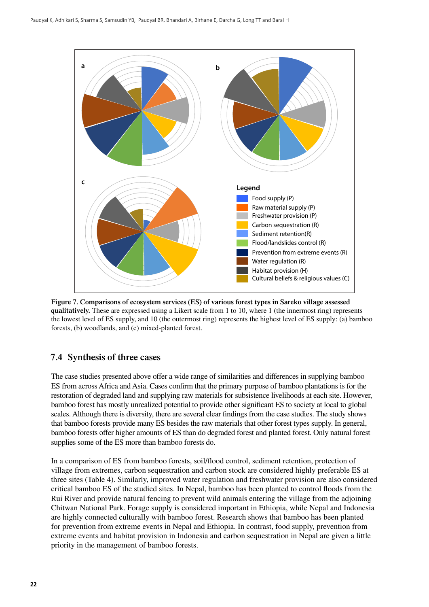<span id="page-29-0"></span>

**Figure 7. Comparisons of ecosystem services (ES) of various forest types in Sareko village assessed qualitatively.** These are expressed using a Likert scale from 1 to 10, where 1 (the innermost ring) represents the lowest level of ES supply, and 10 (the outermost ring) represents the highest level of ES supply: (a) bamboo forests, (b) woodlands, and (c) mixed-planted forest.

### **7.4 Synthesis of three cases**

The case studies presented above offer a wide range of similarities and differences in supplying bamboo ES from across Africa and Asia. Cases confirm that the primary purpose of bamboo plantations is for the restoration of degraded land and supplying raw materials for subsistence livelihoods at each site. However, bamboo forest has mostly unrealized potential to provide other significant ES to society at local to global scales. Although there is diversity, there are several clear findings from the case studies. The study shows that bamboo forests provide many ES besides the raw materials that other forest types supply. In general, bamboo forests offer higher amounts of ES than do degraded forest and planted forest. Only natural forest supplies some of the ES more than bamboo forests do.

In a comparison of ES from bamboo forests, soil/flood control, sediment retention, protection of village from extremes, carbon sequestration and carbon stock are considered highly preferable ES at three sites (Table 4). Similarly, improved water regulation and freshwater provision are also considered critical bamboo ES of the studied sites. In Nepal, bamboo has been planted to control floods from the Rui River and provide natural fencing to prevent wild animals entering the village from the adjoining Chitwan National Park. Forage supply is considered important in Ethiopia, while Nepal and Indonesia are highly connected culturally with bamboo forest. Research shows that bamboo has been planted for prevention from extreme events in Nepal and Ethiopia. In contrast, food supply, prevention from extreme events and habitat provision in Indonesia and carbon sequestration in Nepal are given a little priority in the management of bamboo forests.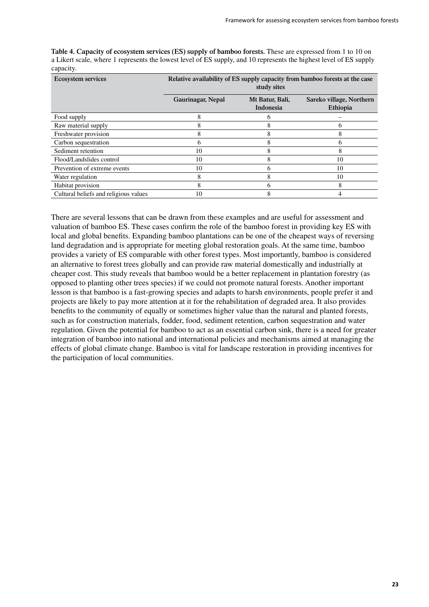| <b>Ecosystem services</b>             | Relative availability of ES supply capacity from bamboo forests at the case<br>study sites |                              |                                      |
|---------------------------------------|--------------------------------------------------------------------------------------------|------------------------------|--------------------------------------|
|                                       | Gaurinagar, Nepal                                                                          | Mt Batur, Bali,<br>Indonesia | Sareko village, Northern<br>Ethiopia |
| Food supply                           | 8                                                                                          | n                            |                                      |
| Raw material supply                   | δ                                                                                          | ð                            | O                                    |
| Freshwater provision                  | 8                                                                                          | 8                            |                                      |
| Carbon sequestration                  | h.                                                                                         | 8                            | h                                    |
| Sediment retention                    | 10                                                                                         | 8                            | 8                                    |
| Flood/Landslides control              | 10                                                                                         | 8                            | 10                                   |
| Prevention of extreme events          | 10                                                                                         | O                            | 10                                   |
| Water regulation                      | 8                                                                                          | 8                            | 10                                   |
| Habitat provision                     | 8                                                                                          | n                            | 8                                    |
| Cultural beliefs and religious values | 10                                                                                         |                              |                                      |

**Table 4. Capacity of ecosystem services (ES) supply of bamboo forests.** These are expressed from 1 to 10 on a Likert scale, where 1 represents the lowest level of ES supply, and 10 represents the highest level of ES supply capacity.

There are several lessons that can be drawn from these examples and are useful for assessment and valuation of bamboo ES. These cases confirm the role of the bamboo forest in providing key ES with local and global benefits. Expanding bamboo plantations can be one of the cheapest ways of reversing land degradation and is appropriate for meeting global restoration goals. At the same time, bamboo provides a variety of ES comparable with other forest types. Most importantly, bamboo is considered an alternative to forest trees globally and can provide raw material domestically and industrially at cheaper cost. This study reveals that bamboo would be a better replacement in plantation forestry (as opposed to planting other trees species) if we could not promote natural forests. Another important lesson is that bamboo is a fast-growing species and adapts to harsh environments, people prefer it and projects are likely to pay more attention at it for the rehabilitation of degraded area. It also provides benefits to the community of equally or sometimes higher value than the natural and planted forests, such as for construction materials, fodder, food, sediment retention, carbon sequestration and water regulation. Given the potential for bamboo to act as an essential carbon sink, there is a need for greater integration of bamboo into national and international policies and mechanisms aimed at managing the effects of global climate change. Bamboo is vital for landscape restoration in providing incentives for the participation of local communities.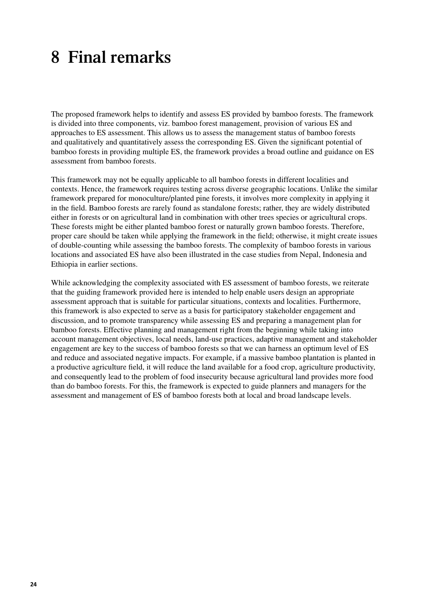## <span id="page-31-0"></span>**8 Final remarks**

The proposed framework helps to identify and assess ES provided by bamboo forests. The framework is divided into three components, viz. bamboo forest management, provision of various ES and approaches to ES assessment. This allows us to assess the management status of bamboo forests and qualitatively and quantitatively assess the corresponding ES. Given the significant potential of bamboo forests in providing multiple ES, the framework provides a broad outline and guidance on ES assessment from bamboo forests.

This framework may not be equally applicable to all bamboo forests in different localities and contexts. Hence, the framework requires testing across diverse geographic locations. Unlike the similar framework prepared for monoculture/planted pine forests, it involves more complexity in applying it in the field. Bamboo forests are rarely found as standalone forests; rather, they are widely distributed either in forests or on agricultural land in combination with other trees species or agricultural crops. These forests might be either planted bamboo forest or naturally grown bamboo forests. Therefore, proper care should be taken while applying the framework in the field; otherwise, it might create issues of double-counting while assessing the bamboo forests. The complexity of bamboo forests in various locations and associated ES have also been illustrated in the case studies from Nepal, Indonesia and Ethiopia in earlier sections.

While acknowledging the complexity associated with ES assessment of bamboo forests, we reiterate that the guiding framework provided here is intended to help enable users design an appropriate assessment approach that is suitable for particular situations, contexts and localities. Furthermore, this framework is also expected to serve as a basis for participatory stakeholder engagement and discussion, and to promote transparency while assessing ES and preparing a management plan for bamboo forests. Effective planning and management right from the beginning while taking into account management objectives, local needs, land-use practices, adaptive management and stakeholder engagement are key to the success of bamboo forests so that we can harness an optimum level of ES and reduce and associated negative impacts. For example, if a massive bamboo plantation is planted in a productive agriculture field, it will reduce the land available for a food crop, agriculture productivity, and consequently lead to the problem of food insecurity because agricultural land provides more food than do bamboo forests. For this, the framework is expected to guide planners and managers for the assessment and management of ES of bamboo forests both at local and broad landscape levels.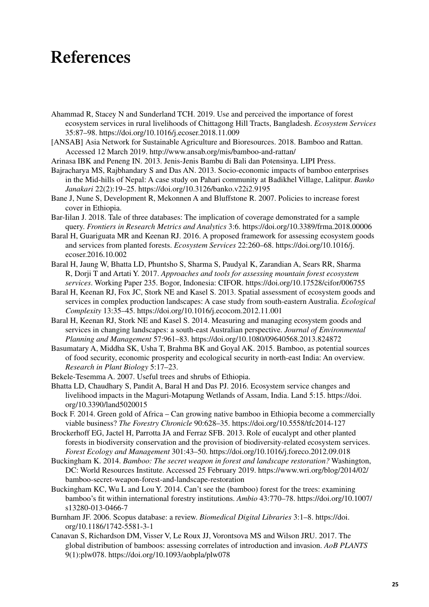### <span id="page-32-0"></span>**References**

- Ahammad R, Stacey N and Sunderland TCH. 2019. Use and perceived the importance of forest ecosystem services in rural livelihoods of Chittagong Hill Tracts, Bangladesh. *Ecosystem Services* 35:87–98. https://doi.org/10.1016/j.ecoser.2018.11.009
- [ANSAB] Asia Network for Sustainable Agriculture and Bioresources. 2018. Bamboo and Rattan. Accessed 12 March 2019. http://www.ansab.org/mis/bamboo-and-rattan/
- Arinasa IBK and Peneng IN. 2013. Jenis-Jenis Bambu di Bali dan Potensinya. LIPI Press.
- Bajracharya MS, Rajbhandary S and Das AN. 2013. Socio-economic impacts of bamboo enterprises in the Mid-hills of Nepal: A case study on Pahari community at Badikhel Village, Lalitpur. *Banko Janakari* 22(2):19–25. https://doi.org/10.3126/banko.v22i2.9195
- Bane J, Nune S, Development R, Mekonnen A and Bluffstone R. 2007. Policies to increase forest cover in Ethiopia.
- Bar-Iilan J. 2018. Tale of three databases: The implication of coverage demonstrated for a sample query. *Frontiers in Research Metrics and Analytics* 3:6. https://doi.org/10.3389/frma.2018.00006
- Baral H, Guariguata MR and Keenan RJ. 2016. A proposed framework for assessing ecosystem goods and services from planted forests. *Ecosystem Services* 22:260–68. https://doi.org/10.1016/j. ecoser.2016.10.002
- Baral H, Jaung W, Bhatta LD, Phuntsho S, Sharma S, Paudyal K, Zarandian A, Sears RR, Sharma R, Dorji T and Artati Y. 2017. *Approaches and tools for assessing mountain forest ecosystem services*. Working Paper 235. Bogor, Indonesia: CIFOR. https://doi.org/10.17528/cifor/006755
- Baral H, Keenan RJ, Fox JC, Stork NE and Kasel S. 2013. Spatial assessment of ecosystem goods and services in complex production landscapes: A case study from south-eastern Australia. *Ecological Complexity* 13:35–45. https://doi.org/10.1016/j.ecocom.2012.11.001
- Baral H, Keenan RJ, Stork NE and Kasel S. 2014. Measuring and managing ecosystem goods and services in changing landscapes: a south-east Australian perspective. *Journal of Environmental Planning and Management* 57:961–83. https://doi.org/10.1080/09640568.2013.824872
- Basumatary A, Middha SK, Usha T, Brahma BK and Goyal AK. 2015. Bamboo, as potential sources of food security, economic prosperity and ecological security in north-east India: An overview. *Research in Plant Biology* 5:17–23.
- Bekele-Tesemma A. 2007. Useful trees and shrubs of Ethiopia.
- Bhatta LD, Chaudhary S, Pandit A, Baral H and Das PJ. 2016. Ecosystem service changes and livelihood impacts in the Maguri-Motapung Wetlands of Assam, India. Land 5:15. https://doi. org/10.3390/land5020015
- Bock F. 2014. Green gold of Africa Can growing native bamboo in Ethiopia become a commercially viable business? *The Forestry Chronicle* 90:628–35. https://doi.org/10.5558/tfc2014-127
- Brockerhoff EG, Jactel H, Parrotta JA and Ferraz SFB. 2013. Role of eucalypt and other planted forests in biodiversity conservation and the provision of biodiversity-related ecosystem services. *Forest Ecology and Management* 301:43–50. https://doi.org/10.1016/j.foreco.2012.09.018
- Buckingham K. 2014. *Bamboo: The secret weapon in forest and landscape restoration?* Washington, DC: World Resources Institute. Accessed 25 February 2019. https://www.wri.org/blog/2014/02/ bamboo-secret-weapon-forest-and-landscape-restoration
- Buckingham KC, Wu L and Lou Y. 2014. Can't see the (bamboo) forest for the trees: examining bamboo's fit within international forestry institutions. *Ambio* 43:770–78. https://doi.org/10.1007/ s13280-013-0466-7
- Burnham JF. 2006. Scopus database: a review. *Biomedical Digital Libraries* 3:1–8. https://doi. org/10.1186/1742-5581-3-1
- Canavan S, Richardson DM, Visser V, Le Roux JJ, Vorontsova MS and Wilson JRU. 2017. The global distribution of bamboos: assessing correlates of introduction and invasion. *AoB PLANTS* 9(1):plw078. https://doi.org/10.1093/aobpla/plw078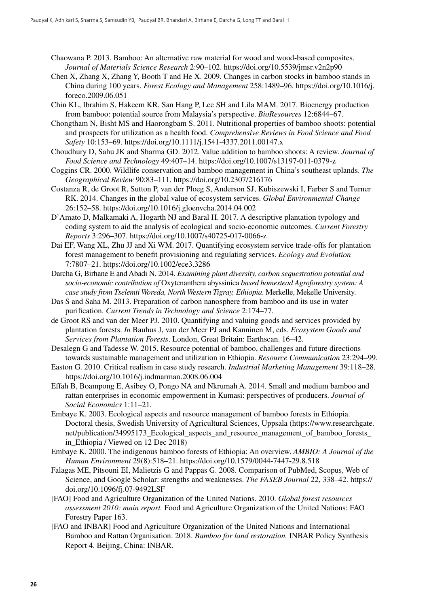- Chaowana P. 2013. Bamboo: An alternative raw material for wood and wood-based composites. *Journal of Materials Science Research* 2:90–102. https://doi.org/10.5539/jmsr.v2n2p90
- Chen X, Zhang X, Zhang Y, Booth T and He X. 2009. Changes in carbon stocks in bamboo stands in China during 100 years. *Forest Ecology and Management* 258:1489–96. https://doi.org/10.1016/j. foreco.2009.06.051
- Chin KL, Ibrahim S, Hakeem KR, San Hang P, Lee SH and Lila MAM. 2017. Bioenergy production from bamboo: potential source from Malaysia's perspective. *BioResources* 12:6844–67.
- Chongtham N, Bisht MS and Haorongbam S. 2011. Nutritional properties of bamboo shoots: potential and prospects for utilization as a health food. *Comprehensive Reviews in Food Science and Food Safety* 10:153–69. https://doi.org/10.1111/j.1541-4337.2011.00147.x
- Choudhury D, Sahu JK and Sharma GD. 2012. Value addition to bamboo shoots: A review. *Journal of Food Science and Technology* 49:407–14. https://doi.org/10.1007/s13197-011-0379-z
- Coggins CR. 2000. Wildlife conservation and bamboo management in China's southeast uplands. *The Geographical Review* 90:83–111. https://doi.org/10.2307/216176
- Costanza R, de Groot R, Sutton P, van der Ploeg S, Anderson SJ, Kubiszewski I, Farber S and Turner RK. 2014. Changes in the global value of ecosystem services. *Global Environmental Change* 26:152–58. https://doi.org/10.1016/j.gloenvcha.2014.04.002
- D'Amato D, Malkamaki A, Hogarth NJ and Baral H. 2017. A descriptive plantation typology and coding system to aid the analysis of ecological and socio-economic outcomes. *Current Forestry Reports* 3:296–307. https://doi.org/10.1007/s40725-017-0066-z
- Dai EF, Wang XL, Zhu JJ and Xi WM. 2017. Quantifying ecosystem service trade-offs for plantation forest management to benefit provisioning and regulating services. *Ecology and Evolution* 7:7807–21. https://doi.org/10.1002/ece3.3286
- Darcha G, Birhane E and Abadi N. 2014. *Examining plant diversity, carbon sequestration potential and socio-economic contribution of* Oxytenanthera abyssinica *based homestead Agroforestry system: A case study from Tselemti Woreda, North Western Tigray, Ethiopia*. Merkelle, Mekelle University.
- Das S and Saha M. 2013. Preparation of carbon nanosphere from bamboo and its use in water purification. *Current Trends in Technology and Science* 2:174–77.
- de Groot RS and van der Meer PJ. 2010. Quantifying and valuing goods and services provided by plantation forests. *In* Bauhus J, van der Meer PJ and Kanninen M, eds. *Ecosystem Goods and Services from Plantation Forests*. London, Great Britain: Earthscan. 16–42.
- Desalegn G and Tadesse W. 2015. Resource potential of bamboo, challenges and future directions towards sustainable management and utilization in Ethiopia. *Resource Communication* 23:294–99.
- Easton G. 2010. Critical realism in case study research. *Industrial Marketing Management* 39:118–28. https://doi.org/10.1016/j.indmarman.2008.06.004
- Effah B, Boampong E, Asibey O, Pongo NA and Nkrumah A. 2014. Small and medium bamboo and rattan enterprises in economic empowerment in Kumasi: perspectives of producers. *Journal of Social Economics* 1:11–21.
- Embaye K. 2003. Ecological aspects and resource management of bamboo forests in Ethiopia. Doctoral thesis, Swedish University of Agricultural Sciences, Uppsala (https://www.researchgate. net/publication/34995173\_Ecological\_aspects\_and\_resource\_management\_of\_bamboo\_forests\_ in Ethiopia / Viewed on 12 Dec 2018)
- Embaye K. 2000. The indigenous bamboo forests of Ethiopia: An overview. *AMBIO: A Journal of the Human Environment* 29(8):518–21. https://doi.org/10.1579/0044-7447-29.8.518
- Falagas ME, Pitsouni EI, Malietzis G and Pappas G. 2008. Comparison of PubMed, Scopus, Web of Science, and Google Scholar: strengths and weaknesses. *The FASEB Journal* 22, 338–42. https:// doi.org/10.1096/fj.07-9492LSF
- [FAO] Food and Agriculture Organization of the United Nations. 2010. *Global forest resources assessment 2010: main report.* Food and Agriculture Organization of the United Nations: FAO Forestry Paper 163.
- [FAO and INBAR] Food and Agriculture Organization of the United Nations and International Bamboo and Rattan Organisation. 2018. *Bamboo for land restoration.* INBAR Policy Synthesis Report 4. Beijing, China: INBAR.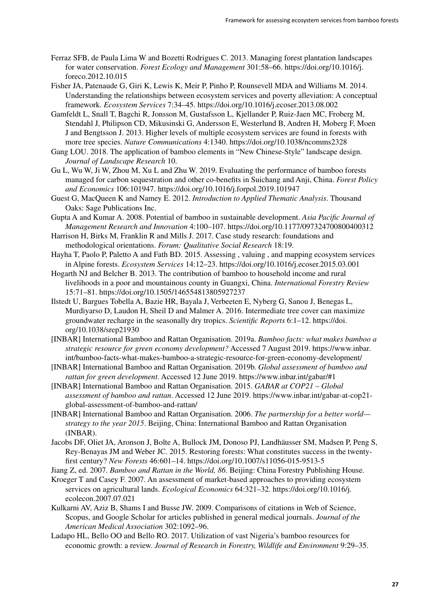- Ferraz SFB, de Paula Lima W and Bozetti Rodrigues C. 2013. Managing forest plantation landscapes for water conservation. *Forest Ecology and Management* 301:58–66. https://doi.org/10.1016/j. foreco.2012.10.015
- Fisher JA, Patenaude G, Giri K, Lewis K, Meir P, Pinho P, Rounsevell MDA and Williams M. 2014. Understanding the relationships between ecosystem services and poverty alleviation: A conceptual framework. *Ecosystem Services* 7:34–45. https://doi.org/10.1016/j.ecoser.2013.08.002
- Gamfeldt L, Snall T, Bagchi R, Jonsson M, Gustafsson L, Kjellander P, Ruiz-Jaen MC, Froberg M, Stendahl J, Philipson CD, Mikusinski G, Andersson E, Westerlund B, Andren H, Moberg F, Moen J and Bengtsson J. 2013. Higher levels of multiple ecosystem services are found in forests with more tree species. *Nature Communications* 4:1340. https://doi.org/10.1038/ncomms2328
- Gang LOU. 2018. The application of bamboo elements in "New Chinese-Style" landscape design. *Journal of Landscape Research* 10.
- Gu L, Wu W, Ji W, Zhou M, Xu L and Zhu W. 2019. Evaluating the performance of bamboo forests managed for carbon sequestration and other co-benefits in Suichang and Anji, China. *Forest Policy and Economics* 106:101947. https://doi.org/10.1016/j.forpol.2019.101947
- Guest G, MacQueen K and Namey E. 2012. *Introduction to Applied Thematic Analysis*. Thousand Oaks: Sage Publications Inc.
- Gupta A and Kumar A. 2008. Potential of bamboo in sustainable development. *Asia Pacific Journal of Management Research and Innovation* 4:100–107. https://doi.org/10.1177/097324700800400312
- Harrison H, Birks M, Franklin R and Mills J. 2017. Case study research: foundations and methodological orientations. *Forum: Qualitative Social Research* 18:19.
- Hayha T, Paolo P, Paletto A and Fath BD. 2015. Assessing , valuing , and mapping ecosystem services in Alpine forests. *Ecosystem Services* 14:12–23. https://doi.org/10.1016/j.ecoser.2015.03.001
- Hogarth NJ and Belcher B. 2013. The contribution of bamboo to household income and rural livelihoods in a poor and mountainous county in Guangxi, China. *International Forestry Review* 15:71–81. https://doi.org/10.1505/146554813805927237
- Ilstedt U, Bargues Tobella A, Bazie HR, Bayala J, Verbeeten E, Nyberg G, Sanou J, Benegas L, Murdiyarso D, Laudon H, Sheil D and Malmer A. 2016. Intermediate tree cover can maximize groundwater recharge in the seasonally dry tropics. *Scientific Reports* 6:1–12. https://doi. org/10.1038/srep21930
- [INBAR] International Bamboo and Rattan Organisation. 2019a. *Bamboo facts: what makes bamboo a strategic resource for green economy development?* Accessed 7 August 2019. https://www.inbar. int/bamboo-facts-what-makes-bamboo-a-strategic-resource-for-green-economy-development/
- [INBAR] International Bamboo and Rattan Organisation. 2019b. *Global assessment of bamboo and rattan for green development*. Accessed 12 June 2019. https://www.inbar.int/gabar/#1
- [INBAR] International Bamboo and Rattan Organisation. 2015. *GABAR at COP21 Global assessment of bamboo and rattan*. Accessed 12 June 2019. https://www.inbar.int/gabar-at-cop21 global-assessment-of-bamboo-and-rattan/
- [INBAR] International Bamboo and Rattan Organisation. 2006. *The partnership for a better world strategy to the year 2015*. Beijing, China: International Bamboo and Rattan Organisation (INBAR).
- Jacobs DF, Oliet JA, Aronson J, Bolte A, Bullock JM, Donoso PJ, Landhäusser SM, Madsen P, Peng S, Rey-Benayas JM and Weber JC. 2015. Restoring forests: What constitutes success in the twentyfirst century? *New Forests* 46:601–14. https://doi.org/10.1007/s11056-015-9513-5

Jiang Z, ed. 2007. *Bamboo and Rattan in the World, 86*. Beijing: China Forestry Publishing House.

- Kroeger T and Casey F. 2007. An assessment of market-based approaches to providing ecosystem services on agricultural lands. *Ecological Economics* 64:321–32. https://doi.org/10.1016/j. ecolecon.2007.07.021
- Kulkarni AV, Aziz B, Shams I and Busse JW. 2009. Comparisons of citations in Web of Science, Scopus, and Google Scholar for articles published in general medical journals. *Journal of the American Medical Association* 302:1092–96.
- Ladapo HL, Bello OO and Bello RO. 2017. Utilization of vast Nigeria's bamboo resources for economic growth: a review. *Journal of Research in Forestry, Wildlife and Environment* 9:29–35.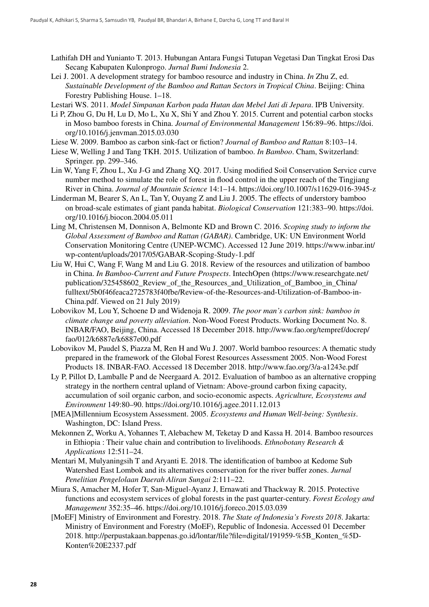- Lathifah DH and Yunianto T. 2013. Hubungan Antara Fungsi Tutupan Vegetasi Dan Tingkat Erosi Das Secang Kabupaten Kulonprogo. *Jurnal Bumi Indonesia* 2.
- Lei J. 2001. A development strategy for bamboo resource and industry in China. *In* Zhu Z, ed. *Sustainable Development of the Bamboo and Rattan Sectors in Tropical China*. Beijing: China Forestry Publishing House. 1–18.

Lestari WS. 2011. *Model Simpanan Karbon pada Hutan dan Mebel Jati di Jepara*. IPB University.

- Li P, Zhou G, Du H, Lu D, Mo L, Xu X, Shi Y and Zhou Y. 2015. Current and potential carbon stocks in Moso bamboo forests in China. *Journal of Environmental Management* 156:89–96. https://doi. org/10.1016/j.jenvman.2015.03.030
- Liese W. 2009. Bamboo as carbon sink-fact or fiction? *Journal of Bamboo and Rattan* 8:103–14.
- Liese W, Welling J and Tang TKH. 2015. Utilization of bamboo. *In Bamboo*. Cham, Switzerland: Springer. pp. 299–346.
- Lin W, Yang F, Zhou L, Xu J-G and Zhang XQ. 2017. Using modified Soil Conservation Service curve number method to simulate the role of forest in flood control in the upper reach of the Tingjiang River in China. *Journal of Mountain Science* 14:1–14. https://doi.org/10.1007/s11629-016-3945-z
- Linderman M, Bearer S, An L, Tan Y, Ouyang Z and Liu J. 2005. The effects of understory bamboo on broad-scale estimates of giant panda habitat. *Biological Conservation* 121:383–90. https://doi. org/10.1016/j.biocon.2004.05.011
- Ling M, Christensen M, Donnison A, Belmonte KD and Brown C. 2016. *Scoping study to inform the Global Assessment of Bamboo and Rattan (GABAR)*. Cambridge, UK: UN Environment World Conservation Monitoring Centre (UNEP-WCMC). Accessed 12 June 2019. https://www.inbar.int/ wp-content/uploads/2017/05/GABAR-Scoping-Study-1.pdf
- Liu W, Hui C, Wang F, Wang M and Liu G. 2018. Review of the resources and utilization of bamboo in China. *In Bamboo-Current and Future Prospects*. IntechOpen (https://www.researchgate.net/ publication/325458602 Review of the Resources and Utilization of Bamboo in China/ fulltext/5b0f46feaca2725783f40fbe/Review-of-the-Resources-and-Utilization-of-Bamboo-in-China.pdf. Viewed on 21 July 2019)
- Lobovikov M, Lou Y, Schoene D and Widenoja R. 2009. *The poor man's carbon sink: bamboo in climate change and poverty alleviation*. Non-Wood Forest Products. Working Document No. 8. INBAR/FAO, Beijing, China. Accessed 18 December 2018. http://www.fao.org/tempref/docrep/ fao/012/k6887e/k6887e00.pdf
- Lobovikov M, Paudel S, Piazza M, Ren H and Wu J. 2007. World bamboo resources: A thematic study prepared in the framework of the Global Forest Resources Assessment 2005. Non-Wood Forest Products 18. INBAR-FAO. Accessed 18 December 2018. http://www.fao.org/3/a-a1243e.pdf
- Ly P, Pillot D, Lamballe P and de Neergaard A. 2012. Evaluation of bamboo as an alternative cropping strategy in the northern central upland of Vietnam: Above-ground carbon fixing capacity, accumulation of soil organic carbon, and socio-economic aspects. *Agriculture, Ecosystems and Environment* 149:80–90. https://doi.org/10.1016/j.agee.2011.12.013
- [MEA]Millennium Ecosystem Assessment. 2005. *Ecosystems and Human Well-being: Synthesis*. Washington, DC: Island Press.
- Mekonnen Z, Worku A, Yohannes T, Alebachew M, Teketay D and Kassa H. 2014. Bamboo resources in Ethiopia : Their value chain and contribution to livelihoods. *Ethnobotany Research & Applications* 12:511–24.
- Mentari M, Mulyaningsih T and Aryanti E. 2018. The identification of bamboo at Kedome Sub Watershed East Lombok and its alternatives conservation for the river buffer zones. *Jurnal Penelitian Pengelolaan Daerah Aliran Sungai* 2:111–22.
- Miura S, Amacher M, Hofer T, San-Miguel-Ayanz J, Ernawati and Thackway R. 2015. Protective functions and ecosystem services of global forests in the past quarter-century. *Forest Ecology and Management* 352:35–46. https://doi.org/10.1016/j.foreco.2015.03.039
- [MoEF] Ministry of Environment and Forestry. 2018. *The State of Indonesia's Forests 2018*. Jakarta: Ministry of Environment and Forestry (MoEF), Republic of Indonesia. Accessed 01 December 2018. http://perpustakaan.bappenas.go.id/lontar/file?file=digital/191959-%5B\_Konten\_%5D-Konten%20E2337.pdf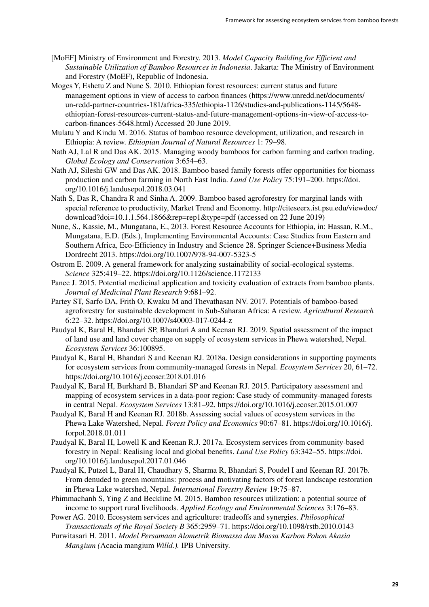- [MoEF] Ministry of Environment and Forestry. 2013. *Model Capacity Building for Efficient and Sustainable Utilization of Bamboo Resources in Indonesia*. Jakarta: The Ministry of Environment and Forestry (MoEF), Republic of Indonesia.
- Moges Y, Eshetu Z and Nune S. 2010. Ethiopian forest resources: current status and future management options in view of access to carbon finances [\(https://www.unredd.net/documents/](https://www.unredd.net/documents/un-redd-partner-countries-181/africa-335/ethiopia-1126/studies-and-publications-1145/5648-ethiopian-forest-resources-current-status-and-future-management-options-in-view-of-access-to-carbon-finances-5648.html) [un-redd-partner-countries-181/africa-335/ethiopia-1126/studies-and-publications-1145/5648](https://www.unredd.net/documents/un-redd-partner-countries-181/africa-335/ethiopia-1126/studies-and-publications-1145/5648-ethiopian-forest-resources-current-status-and-future-management-options-in-view-of-access-to-carbon-finances-5648.html) [ethiopian-forest-resources-current-status-and-future-management-options-in-view-of-access-to](https://www.unredd.net/documents/un-redd-partner-countries-181/africa-335/ethiopia-1126/studies-and-publications-1145/5648-ethiopian-forest-resources-current-status-and-future-management-options-in-view-of-access-to-carbon-finances-5648.html)[carbon-finances-5648.html\)](https://www.unredd.net/documents/un-redd-partner-countries-181/africa-335/ethiopia-1126/studies-and-publications-1145/5648-ethiopian-forest-resources-current-status-and-future-management-options-in-view-of-access-to-carbon-finances-5648.html) Accessed 20 June 2019.
- Mulatu Y and Kindu M. 2016. Status of bamboo resource development, utilization, and research in Ethiopia: A review. *Ethiopian Journal of Natural Resources* 1: 79–98.
- Nath AJ, Lal R and Das AK. 2015. Managing woody bamboos for carbon farming and carbon trading. *Global Ecology and Conservation* 3:654–63.
- Nath AJ, Sileshi GW and Das AK. 2018. Bamboo based family forests offer opportunities for biomass production and carbon farming in North East India. *Land Use Policy* 75:191–200. https://doi. org/10.1016/j.landusepol.2018.03.041
- Nath S, Das R, Chandra R and Sinha A. 2009. Bamboo based agroforestry for marginal lands with special reference to productivity, Market Trend and Economy. http://citeseerx.ist.psu.edu/viewdoc/ download?doi=10.1.1.564.1866&rep=rep1&type=pdf (accessed on 22 June 2019)
- Nune, S., Kassie, M., Mungatana, E., 2013. Forest Resource Accounts for Ethiopia, in: Hassan, R.M., Mungatana, E.D. (Eds.), Implementing Environmental Accounts: Case Studies from Eastern and Southern Africa, Eco-Efficiency in Industry and Science 28. Springer Science+Business Media Dordrecht 2013. https://doi.org/10.1007/978-94-007-5323-5
- Ostrom E. 2009. A general framework for analyzing sustainability of social-ecological systems. *Science* 325:419–22. https://doi.org/10.1126/science.1172133
- Panee J. 2015. Potential medicinal application and toxicity evaluation of extracts from bamboo plants. *Journal of Medicinal Plant Research* 9:681–92.
- Partey ST, Sarfo DA, Frith O, Kwaku M and Thevathasan NV. 2017. Potentials of bamboo-based agroforestry for sustainable development in Sub-Saharan Africa: A review. *Agricultural Research* 6:22–32. https://doi.org/10.1007/s40003-017-0244-z
- Paudyal K, Baral H, Bhandari SP, Bhandari A and Keenan RJ. 2019. Spatial assessment of the impact of land use and land cover change on supply of ecosystem services in Phewa watershed, Nepal. *Ecosystem Services* 36:100895.
- Paudyal K, Baral H, Bhandari S and Keenan RJ. 2018a. Design considerations in supporting payments for ecosystem services from community-managed forests in Nepal. *Ecosystem Services* 20, 61–72. https://doi.org/10.1016/j.ecoser.2018.01.016
- Paudyal K, Baral H, Burkhard B, Bhandari SP and Keenan RJ. 2015. Participatory assessment and mapping of ecosystem services in a data-poor region: Case study of community-managed forests in central Nepal. *Ecosystem Services* 13:81–92. https://doi.org/10.1016/j.ecoser.2015.01.007
- Paudyal K, Baral H and Keenan RJ. 2018b. Assessing social values of ecosystem services in the Phewa Lake Watershed, Nepal. *Forest Policy and Economics* 90:67–81. https://doi.org/10.1016/j. forpol.2018.01.011
- Paudyal K, Baral H, Lowell K and Keenan R.J. 2017a. Ecosystem services from community-based forestry in Nepal: Realising local and global benefits. *Land Use Policy* 63:342–55. https://doi. org/10.1016/j.landusepol.2017.01.046
- Paudyal K, Putzel L, Baral H, Chaudhary S, Sharma R, Bhandari S, Poudel I and Keenan RJ. 2017b. From denuded to green mountains: process and motivating factors of forest landscape restoration in Phewa Lake watershed, Nepal. *International Forestry Review* 19:75–87.
- Phimmachanh S, Ying Z and Beckline M. 2015. Bamboo resources utilization: a potential source of income to support rural livelihoods. *Applied Ecology and Environmental Sciences* 3:176–83.
- Power AG. 2010. Ecosystem services and agriculture: tradeoffs and synergies. *Philosophical Transactionals of the Royal Society B* 365:2959–71. https://doi.org/10.1098/rstb.2010.0143
- Purwitasari H. 2011. *Model Persamaan Alometrik Biomassa dan Massa Karbon Pohon Akasia Mangium (*Acacia mangium *Willd.).* IPB University.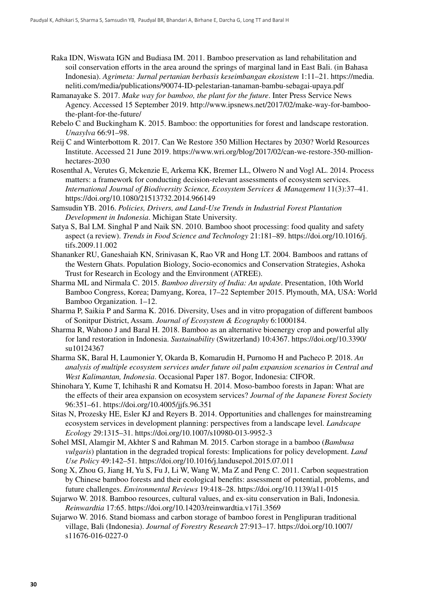- Raka IDN, Wiswata IGN and Budiasa IM. 2011. Bamboo preservation as land rehabilitation and soil conservation efforts in the area around the springs of marginal land in East Bali. (in Bahasa Indonesia). *Agrimeta: Jurnal pertanian berbasis keseimbangan ekosistem* 1:11–21. https://media. neliti.com/media/publications/90074-ID-pelestarian-tanaman-bambu-sebagai-upaya.pdf
- Ramanayake S. 2017. *Make way for bamboo, the plant for the future*. Inter Press Service News Agency. Accessed 15 September 2019. http://www.ipsnews.net/2017/02/make-way-for-bamboothe-plant-for-the-future/
- Rebelo C and Buckingham K. 2015. Bamboo: the opportunities for forest and landscape restoration. *Unasylva* 66:91–98.
- Reij C and Winterbottom R. 2017. Can We Restore 350 Million Hectares by 2030? World Resources Institute. Accessed 21 June 2019. https://www.wri.org/blog/2017/02/can-we-restore-350-millionhectares-2030
- Rosenthal A, Verutes G, Mckenzie E, Arkema KK, Bremer LL, Olwero N and Vogl AL. 2014. Process matters: a framework for conducting decision-relevant assessments of ecosystem services. *International Journal of Biodiversity Science, Ecosystem Services & Management* 11(3):37–41. https://doi.org/10.1080/21513732.2014.966149
- Samsudin YB. 2016. *Policies, Drivers, and Land-Use Trends in Industrial Forest Plantation Development in Indonesia*. Michigan State University.
- Satya S, Bal LM. Singhal P and Naik SN. 2010. Bamboo shoot processing: food quality and safety aspect (a review). *Trends in Food Science and Technology* 21:181–89. https://doi.org/10.1016/j. tifs.2009.11.002
- Shananker RU, Ganeshaiah KN, Srinivasan K, Rao VR and Hong LT. 2004. Bamboos and rattans of the Western Ghats. Population Biology, Socio-economics and Conservation Strategies, Ashoka Trust for Research in Ecology and the Environment (ATREE).
- Sharma ML and Nirmala C. 2015. *Bamboo diversity of India: An update*. Presentation, 10th World Bamboo Congress, Korea; Damyang, Korea, 17–22 September 2015. Plymouth, MA, USA: World Bamboo Organization. 1–12.
- Sharma P, Saikia P and Sarma K. 2016. Diversity, Uses and in vitro propagation of different bamboos of Sonitpur District, Assam. *Journal of Ecosystem & Ecography* 6:1000184.
- Sharma R, Wahono J and Baral H. 2018. Bamboo as an alternative bioenergy crop and powerful ally for land restoration in Indonesia. *Sustainability* (Switzerland) 10:4367. https://doi.org/10.3390/ su10124367
- Sharma SK, Baral H, Laumonier Y, Okarda B, Komarudin H, Purnomo H and Pacheco P. 2018. *An analysis of multiple ecosystem services under future oil palm expansion scenarios in Central and West Kalimantan, Indonesia*. Occasional Paper 187. Bogor, Indonesia: CIFOR.
- Shinohara Y, Kume T, Ichihashi R and Komatsu H. 2014. Moso-bamboo forests in Japan: What are the effects of their area expansion on ecosystem services? *Journal of the Japanese Forest Society* 96:351–61. https://doi.org/10.4005/jjfs.96.351
- Sitas N, Prozesky HE, Esler KJ and Reyers B. 2014. Opportunities and challenges for mainstreaming ecosystem services in development planning: perspectives from a landscape level. *Landscape Ecology* 29:1315–31. https://doi.org/10.1007/s10980-013-9952-3
- Sohel MSI, Alamgir M, Akhter S and Rahman M. 2015. Carbon storage in a bamboo (*Bambusa vulgaris*) plantation in the degraded tropical forests: Implications for policy development. *Land Use Policy* 49:142–51. https://doi.org/10.1016/j.landusepol.2015.07.011
- Song X, Zhou G, Jiang H, Yu S, Fu J, Li W, Wang W, Ma Z and Peng C. 2011. Carbon sequestration by Chinese bamboo forests and their ecological benefits: assessment of potential, problems, and future challenges. *Environmental Reviews* 19:418–28. https://doi.org/10.1139/a11-015
- Sujarwo W. 2018. Bamboo resources, cultural values, and ex-situ conservation in Bali, Indonesia. *Reinwardtia* 17:65. https://doi.org/10.14203/reinwardtia.v17i1.3569
- Sujarwo W. 2016. Stand biomass and carbon storage of bamboo forest in Penglipuran traditional village, Bali (Indonesia). *Journal of Forestry Research* 27:913–17. https://doi.org/10.1007/ s11676-016-0227-0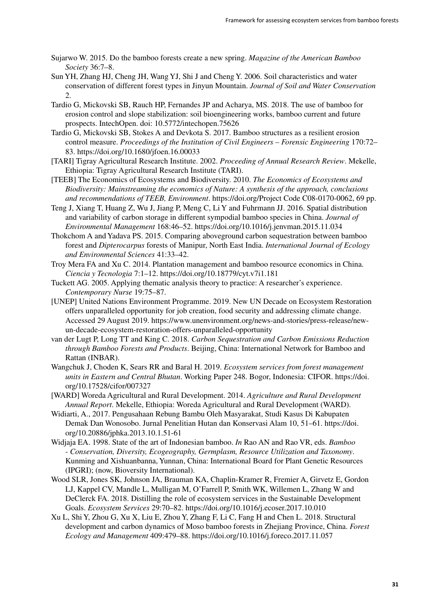- Sujarwo W. 2015. Do the bamboo forests create a new spring. *Magazine of the American Bamboo Society* 36:7–8.
- Sun YH, Zhang HJ, Cheng JH, Wang YJ, Shi J and Cheng Y. 2006. Soil characteristics and water conservation of different forest types in Jinyun Mountain. *Journal of Soil and Water Conservation* 2.
- Tardio G, Mickovski SB, Rauch HP, Fernandes JP and Acharya, MS. 2018. The use of bamboo for erosion control and slope stabilization: soil bioengineering works, bamboo current and future prospects. IntechOpen. doi: 10.5772/intechopen.75626
- Tardio G, Mickovski SB, Stokes A and Devkota S. 2017. Bamboo structures as a resilient erosion control measure. *Proceedings of the Institution of Civil Engineers – Forensic Engineering* 170:72– 83. https://doi.org/10.1680/jfoen.16.00033
- [TARI] Tigray Agricultural Research Institute. 2002. *Proceeding of Annual Research Review*. Mekelle, Ethiopia: Tigray Agricultural Research Institute (TARI).
- [TEEB] The Economics of Ecosystems and Biodiversity. 2010. *The Economics of Ecosystems and Biodiversity: Mainstreaming the economics of Nature: A synthesis of the approach, conclusions and recommendations of TEEB, Environment*. https://doi.org/Project Code C08-0170-0062, 69 pp.
- Teng J, Xiang T, Huang Z, Wu J, Jiang P, Meng C, Li Y and Fuhrmann JJ. 2016. Spatial distribution and variability of carbon storage in different sympodial bamboo species in China. *Journal of Environmental Management* 168:46–52. https://doi.org/10.1016/j.jenvman.2015.11.034
- Thokchom A and Yadava PS. 2015. Comparing aboveground carbon sequestration between bamboo forest and *Dipterocarpus* forests of Manipur, North East India. *International Journal of Ecology and Environmental Sciences* 41:33–42.
- Troy Mera FA and Xu C. 2014. Plantation management and bamboo resource economics in China. *Ciencia y Tecnologia* 7:1–12. https://doi.org/10.18779/cyt.v7i1.181
- Tuckett AG. 2005. Applying thematic analysis theory to practice: A researcher's experience. *Contemporary Nurse* 19:75–87.
- [UNEP] United Nations Environment Programme. 2019. New UN Decade on Ecosystem Restoration offers unparalleled opportunity for job creation, food security and addressing climate change. Accessed 29 August 2019. https://www.unenvironment.org/news-and-stories/press-release/newun-decade-ecosystem-restoration-offers-unparalleled-opportunity
- van der Lugt P, Long TT and King C. 2018. *Carbon Sequestration and Carbon Emissions Reduction through Bamboo Forests and Products*. Beijing, China: International Network for Bamboo and Rattan (INBAR).
- Wangchuk J, Choden K, Sears RR and Baral H. 2019. *Ecosystem services from forest management units in Eastern and Central Bhutan*. Working Paper 248. Bogor, Indonesia: CIFOR. https://doi. org/10.17528/cifor/007327
- [WARD] Woreda Agricultural and Rural Development. 2014. *Agriculture and Rural Development Annual Report*. Mekelle, Ethiopia: Woreda Agricultural and Rural Development (WARD).
- Widiarti, A., 2017. Pengusahaan Rebung Bambu Oleh Masyarakat, Studi Kasus Di Kabupaten Demak Dan Wonosobo. Jurnal Penelitian Hutan dan Konservasi Alam 10, 51–61. https://doi. org/10.20886/jphka.2013.10.1.51-61
- Widjaja EA. 1998. State of the art of Indonesian bamboo. *In* Rao AN and Rao VR, eds. *Bamboo - Conservation, Diversity, Ecogeography, Germplasm, Resource Utilization and Taxonomy*. Kunming and Xishuanbanna, Yunnan, China: International Board for Plant Genetic Resources (IPGRI); (now, Bioversity International).
- Wood SLR, Jones SK, Johnson JA, Brauman KA, Chaplin-Kramer R, Fremier A, Girvetz E, Gordon LJ, Kappel CV, Mandle L, Mulligan M, O'Farrell P, Smith WK, Willemen L, Zhang W and DeClerck FA. 2018. Distilling the role of ecosystem services in the Sustainable Development Goals. *Ecosystem Services* 29:70–82. https://doi.org/10.1016/j.ecoser.2017.10.010
- Xu L, Shi Y, Zhou G, Xu X, Liu E, Zhou Y, Zhang F, Li C, Fang H and Chen L. 2018. Structural development and carbon dynamics of Moso bamboo forests in Zhejiang Province, China. *Forest Ecology and Management* 409:479–88. https://doi.org/10.1016/j.foreco.2017.11.057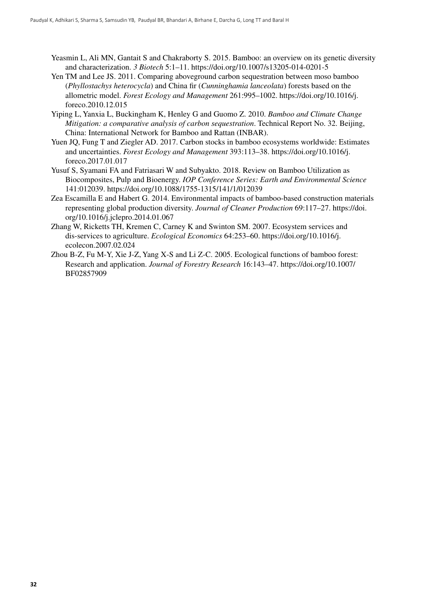- Yeasmin L, Ali MN, Gantait S and Chakraborty S. 2015. Bamboo: an overview on its genetic diversity and characterization. *3 Biotech* 5:1–11. https://doi.org/10.1007/s13205-014-0201-5
- Yen TM and Lee JS. 2011. Comparing aboveground carbon sequestration between moso bamboo (*Phyllostachys heterocycla*) and China fir (*Cunninghamia lanceolata*) forests based on the allometric model. *Forest Ecology and Management* 261:995–1002. https://doi.org/10.1016/j. foreco.2010.12.015
- Yiping L, Yanxia L, Buckingham K, Henley G and Guomo Z. 2010. *Bamboo and Climate Change Mitigation: a comparative analysis of carbon sequestration*. Technical Report No. 32. Beijing, China: International Network for Bamboo and Rattan (INBAR).
- Yuen JQ, Fung T and Ziegler AD. 2017. Carbon stocks in bamboo ecosystems worldwide: Estimates and uncertainties. *Forest Ecology and Management* 393:113–38. https://doi.org/10.1016/j. foreco.2017.01.017
- Yusuf S, Syamani FA and Fatriasari W and Subyakto. 2018. Review on Bamboo Utilization as Biocomposites, Pulp and Bioenergy. *IOP Conference Series: Earth and Environmental Science* 141:012039. https://doi.org/10.1088/1755-1315/141/1/012039
- Zea Escamilla E and Habert G. 2014. Environmental impacts of bamboo-based construction materials representing global production diversity. *Journal of Cleaner Production* 69:117–27. https://doi. org/10.1016/j.jclepro.2014.01.067
- Zhang W, Ricketts TH, Kremen C, Carney K and Swinton SM. 2007. Ecosystem services and dis-services to agriculture. *Ecological Economics* 64:253–60. https://doi.org/10.1016/j. ecolecon.2007.02.024
- Zhou B-Z, Fu M-Y, Xie J-Z, Yang X-S and Li Z-C. 2005. Ecological functions of bamboo forest: Research and application. *Journal of Forestry Research* 16:143–47. https://doi.org/10.1007/ BF02857909